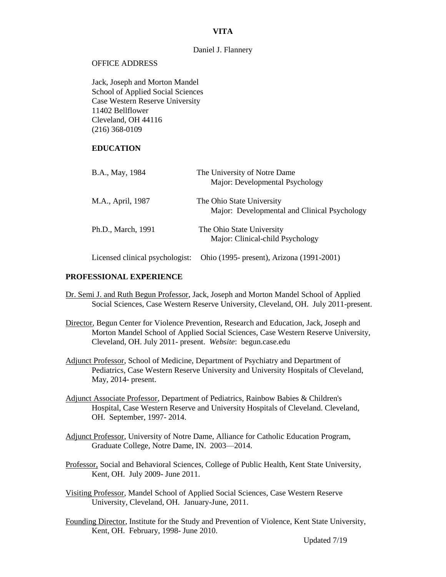### **VITA**

#### Daniel J. Flannery

#### OFFICE ADDRESS

Jack, Joseph and Morton Mandel School of Applied Social Sciences Case Western Reserve University 11402 Bellflower Cleveland, OH 44116 (216) 368-0109

# **EDUCATION**

| B.A., May, 1984                 | The University of Notre Dame<br>Major: Developmental Psychology           |
|---------------------------------|---------------------------------------------------------------------------|
| M.A., April, 1987               | The Ohio State University<br>Major: Developmental and Clinical Psychology |
| Ph.D., March, 1991              | The Ohio State University<br>Major: Clinical-child Psychology             |
| Licensed clinical psychologist: | Ohio (1995- present), Arizona (1991-2001)                                 |

#### **PROFESSIONAL EXPERIENCE**

- Dr. Semi J. and Ruth Begun Professor, Jack, Joseph and Morton Mandel School of Applied Social Sciences, Case Western Reserve University, Cleveland, OH. July 2011-present.
- Director, Begun Center for Violence Prevention, Research and Education, Jack, Joseph and Morton Mandel School of Applied Social Sciences, Case Western Reserve University, Cleveland, OH. July 2011- present. *Website*: begun.case.edu
- Adjunct Professor, School of Medicine, Department of Psychiatry and Department of Pediatrics, Case Western Reserve University and University Hospitals of Cleveland, May, 2014- present.
- Adjunct Associate Professor, Department of Pediatrics, Rainbow Babies & Children's Hospital, Case Western Reserve and University Hospitals of Cleveland. Cleveland, OH. September, 1997- 2014.
- Adjunct Professor, University of Notre Dame, Alliance for Catholic Education Program, Graduate College, Notre Dame, IN. 2003—2014.
- Professor, Social and Behavioral Sciences, College of Public Health, Kent State University, Kent, OH. July 2009- June 2011.
- Visiting Professor, Mandel School of Applied Social Sciences, Case Western Reserve University, Cleveland, OH. January-June, 2011.
- Founding Director, Institute for the Study and Prevention of Violence, Kent State University, Kent, OH. February, 1998- June 2010.

Updated 7/19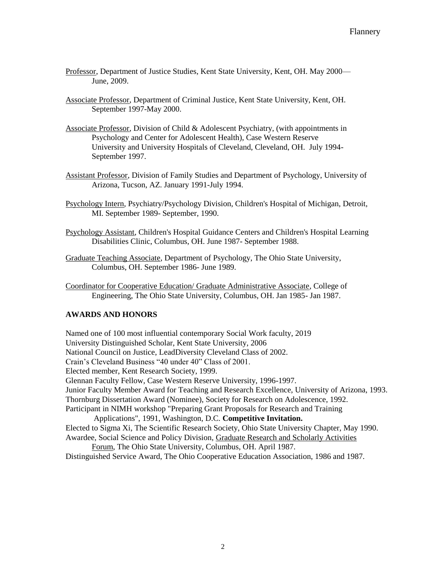- Professor, Department of Justice Studies, Kent State University, Kent, OH. May 2000— June, 2009.
- Associate Professor, Department of Criminal Justice, Kent State University, Kent, OH. September 1997-May 2000.
- Associate Professor, Division of Child & Adolescent Psychiatry, (with appointments in Psychology and Center for Adolescent Health), Case Western Reserve University and University Hospitals of Cleveland, Cleveland, OH. July 1994- September 1997.
- Assistant Professor, Division of Family Studies and Department of Psychology, University of Arizona, Tucson, AZ. January 1991-July 1994.
- Psychology Intern, Psychiatry/Psychology Division, Children's Hospital of Michigan, Detroit, MI. September 1989- September, 1990.
- Psychology Assistant, Children's Hospital Guidance Centers and Children's Hospital Learning Disabilities Clinic, Columbus, OH. June 1987- September 1988.
- Graduate Teaching Associate, Department of Psychology, The Ohio State University, Columbus, OH. September 1986- June 1989.
- Coordinator for Cooperative Education/ Graduate Administrative Associate, College of Engineering, The Ohio State University, Columbus, OH. Jan 1985- Jan 1987.

# **AWARDS AND HONORS**

Named one of 100 most influential contemporary Social Work faculty, 2019 University Distinguished Scholar, Kent State University, 2006 National Council on Justice, LeadDiversity Cleveland Class of 2002. Crain's Cleveland Business "40 under 40" Class of 2001. Elected member, Kent Research Society, 1999. Glennan Faculty Fellow, Case Western Reserve University, 1996-1997. Junior Faculty Member Award for Teaching and Research Excellence, University of Arizona, 1993. Thornburg Dissertation Award (Nominee), Society for Research on Adolescence, 1992. Participant in NIMH workshop "Preparing Grant Proposals for Research and Training Applications", 1991, Washington, D.C. **Competitive Invitation.** Elected to Sigma Xi, The Scientific Research Society, Ohio State University Chapter, May 1990. Awardee, Social Science and Policy Division, Graduate Research and Scholarly Activities Forum, The Ohio State University, Columbus, OH. April 1987.

Distinguished Service Award, The Ohio Cooperative Education Association, 1986 and 1987.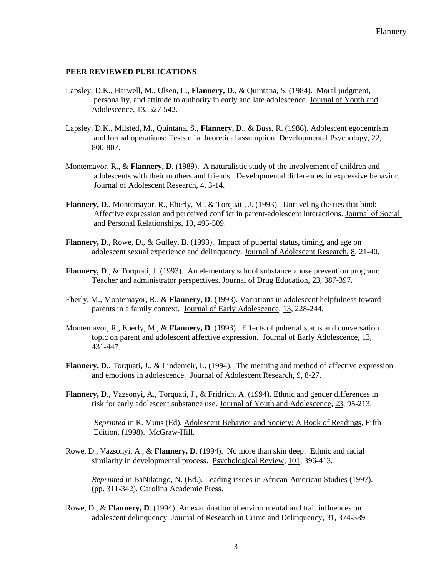# **PEER REVIEWED PUBLICATIONS**

- Lapsley, D.K., Harwell, M., Olsen, L., **Flannery, D**., & Quintana, S. (1984). Moral judgment, personality, and attitude to authority in early and late adolescence. Journal of Youth and Adolescence, 13, 527-542.
- Lapsley, D.K., Milsted, M., Quintana, S., **Flannery, D**., & Buss, R. (1986). Adolescent egocentrism and formal operations: Tests of a theoretical assumption. Developmental Psychology, 22, 800-807.
- Montemayor, R., & **Flannery, D**. (1989). A naturalistic study of the involvement of children and adolescents with their mothers and friends: Developmental differences in expressive behavior. Journal of Adolescent Research, 4, 3-14.
- Flannery, D., Montemayor, R., Eberly, M., & Torquati, J. (1993). Unraveling the ties that bind: Affective expression and perceived conflict in parent-adolescent interactions. Journal of Social and Personal Relationships, 10, 495-509.
- **Flannery, D**., Rowe, D., & Gulley, B. (1993). Impact of pubertal status, timing, and age on adolescent sexual experience and delinquency. Journal of Adolescent Research, 8, 21-40.
- **Flannery, D., & Torquati, J. (1993). An elementary school substance abuse prevention program:** Teacher and administrator perspectives. Journal of Drug Education, 23, 387-397.
- Eberly, M., Montemayor, R., & **Flannery, D**. (1993). Variations in adolescent helpfulness toward parents in a family context. Journal of Early Adolescence, 13, 228-244.
- Montemayor, R., Eberly, M., & **Flannery, D**. (1993). Effects of pubertal status and conversation topic on parent and adolescent affective expression. Journal of Early Adolescence, 13, 431-447.
- **Flannery, D**., Torquati, J., & Lindemeir, L. (1994). The meaning and method of affective expression and emotions in adolescence. Journal of Adolescent Research, 9, 8-27.
- **Flannery, D**., Vazsonyi, A., Torquati, J., & Fridrich, A. (1994). Ethnic and gender differences in risk for early adolescent substance use. Journal of Youth and Adolescence, 23, 95-213.

*Reprinted* in R. Muus (Ed). Adolescent Behavior and Society: A Book of Readings, Fifth Edition, (1998). McGraw-Hill.

Rowe, D., Vazsonyi, A., & **Flannery, D**. (1994). No more than skin deep: Ethnic and racial similarity in developmental process. Psychological Review, 101, 396-413.

*Reprinted* in BaNikongo, N. (Ed.). Leading issues in African-American Studies (1997). (pp. 311-342). Carolina Academic Press.

Rowe, D., & **Flannery, D**. (1994). An examination of environmental and trait influences on adolescent delinquency. Journal of Research in Crime and Delinquency, 31, 374-389.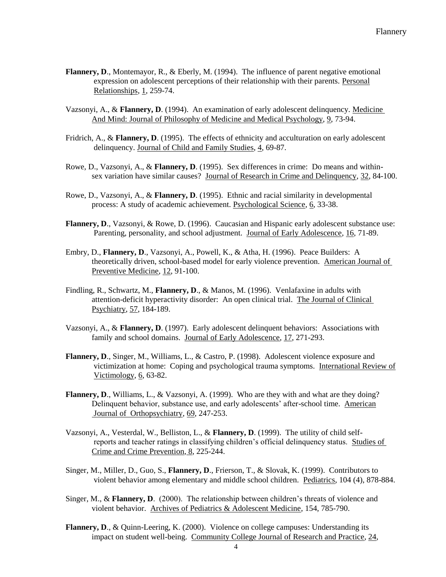- Flannery, D., Montemayor, R., & Eberly, M. (1994). The influence of parent negative emotional expression on adolescent perceptions of their relationship with their parents. Personal Relationships, 1, 259-74.
- Vazsonyi, A., & **Flannery, D**. (1994). An examination of early adolescent delinquency. Medicine And Mind: Journal of Philosophy of Medicine and Medical Psychology, 9, 73-94.
- Fridrich, A., & **Flannery, D**. (1995). The effects of ethnicity and acculturation on early adolescent delinquency. Journal of Child and Family Studies, 4, 69-87.
- Rowe, D., Vazsonyi, A., & **Flannery, D**. (1995). Sex differences in crime: Do means and withinsex variation have similar causes? Journal of Research in Crime and Delinquency, 32, 84-100.
- Rowe, D., Vazsonyi, A., & **Flannery, D**. (1995). Ethnic and racial similarity in developmental process: A study of academic achievement. Psychological Science, 6, 33-38.
- **Flannery, D**., Vazsonyi, & Rowe, D. (1996). Caucasian and Hispanic early adolescent substance use: Parenting, personality, and school adjustment. Journal of Early Adolescence, 16, 71-89.
- Embry, D., **Flannery, D**., Vazsonyi, A., Powell, K., & Atha, H. (1996). Peace Builders: A theoretically driven, school-based model for early violence prevention. American Journal of Preventive Medicine, 12, 91-100.
- Findling, R., Schwartz, M., **Flannery, D**., & Manos, M. (1996). Venlafaxine in adults with attention-deficit hyperactivity disorder: An open clinical trial. The Journal of Clinical Psychiatry, 57, 184-189.
- Vazsonyi, A., & **Flannery, D**. (1997). Early adolescent delinquent behaviors: Associations with family and school domains. Journal of Early Adolescence, 17, 271-293.
- **Flannery, D**., Singer, M., Williams, L., & Castro, P. (1998). Adolescent violence exposure and victimization at home: Coping and psychological trauma symptoms. International Review of Victimology, 6, 63-82.
- **Flannery, D., Williams, L., & Vazsonyi, A. (1999). Who are they with and what are they doing?** Delinquent behavior, substance use, and early adolescents' after-school time. American Journal of Orthopsychiatry, 69, 247-253.
- Vazsonyi, A., Vesterdal, W., Belliston, L., & **Flannery, D**. (1999). The utility of child selfreports and teacher ratings in classifying children's official delinquency status.Studies of Crime and Crime Prevention, 8, 225-244.
- Singer, M., Miller, D., Guo, S., **Flannery, D**., Frierson, T., & Slovak, K. (1999). Contributors to violent behavior among elementary and middle school children. Pediatrics, 104 (4), 878-884.
- Singer, M., & **Flannery, D**. (2000). The relationship between children's threats of violence and violent behavior. Archives of Pediatrics & Adolescent Medicine, 154, 785-790.
- **Flannery, D**., & Quinn-Leering, K. (2000). Violence on college campuses: Understanding its impact on student well-being. Community College Journal of Research and Practice, 24,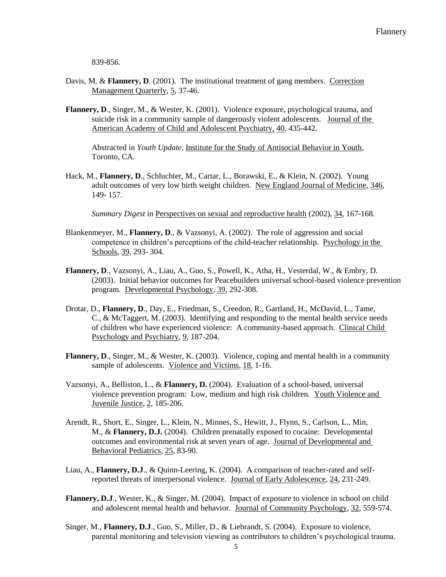839-856.

- Davis, M. & **Flannery, D.** (2001). The institutional treatment of gang members. Correction Management Quarterly, 5, 37-46.
- **Flannery, D**., Singer, M., & Wester, K. (2001). Violence exposure, psychological trauma, and suicide risk in a community sample of dangerously violent adolescents. Journal of the American Academy of Child and Adolescent Psychiatry, 40, 435-442.

Abstracted in *Youth Update*, Institute for the Study of Antisocial Behavior in Youth, Toronto, CA.

Hack, M., **Flannery, D**., Schluchter, M., Cartar, L., Borawski, E., & Klein, N. (2002). Young adult outcomes of very low birth weight children. New England Journal of Medicine, 346, 149- 157.

*Summary Digest* in Perspectives on sexual and reproductive health (2002), 34, 167-168.

- Blankenmeyer, M., **Flannery, D**., & Vazsonyi, A. (2002). The role of aggression and social competence in children's perceptions of the child-teacher relationship. Psychology in the Schools, 39, 293- 304.
- **Flannery, D**., Vazsonyi, A., Liau, A., Guo, S., Powell, K., Atha, H., Vesterdal, W., & Embry, D. (2003). Initial behavior outcomes for Peacebuilders universal school-based violence prevention program. Developmental Psychology, 39, 292-308.
- Drotar, D., **Flannery, D**., Day, E., Friedman, S., Creedon, R., Gartland, H., McDavid, L., Tame, C., & McTaggert, M. (2003). Identifying and responding to the mental health service needs of children who have experienced violence: A community-based approach. Clinical Child Psychology and Psychiatry, 9, 187-204.
- **Flannery, D**., Singer, M., & Wester, K. (2003). Violence, coping and mental health in a community sample of adolescents. Violence and Victims, 18, 1-16.
- Vazsonyi, A., Belliston, L., & **Flannery, D.** (2004). Evaluation of a school-based, universal violence prevention program: Low, medium and high risk children. Youth Violence and Juvenile Justice, 2, 185-206.
- Arendt, R., Short, E., Singer, L., Klein, N., Minnes, S., Hewitt, J., Flynn, S., Carlson, L., Min, M., & **Flannery, D.J.** (2004). Children prenatally exposed to cocaine: Developmental outcomes and environmental risk at seven years of age. Journal of Developmental and Behavioral Pediatrics, 25, 83-90.
- Liau, A., **Flannery, D.J**., & Quinn-Leering, K. (2004). A comparison of teacher-rated and selfreported threats of interpersonal violence. Journal of Early Adolescence, 24, 231-249.
- **Flannery, D.J**., Wester, K., & Singer, M. (2004). Impact of exposure to violence in school on child and adolescent mental health and behavior. Journal of Community Psychology, 32, 559-574.
- Singer, M., **Flannery, D.J**., Guo, S., Miller, D., & Liebrandt, S. (2004). Exposure to violence, parental monitoring and television viewing as contributors to children's psychological trauma.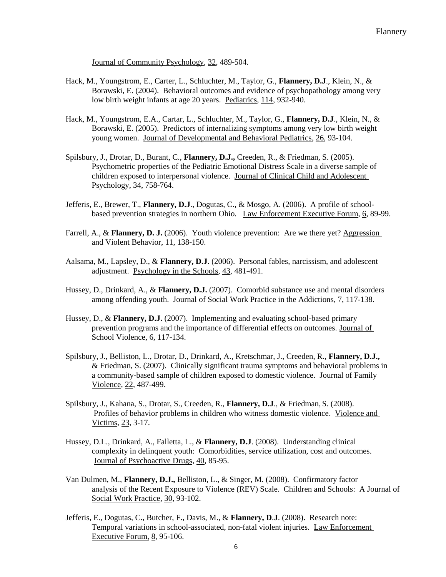Journal of Community Psychology, 32, 489-504.

- Hack, M., Youngstrom, E., Carter, L., Schluchter, M., Taylor, G., **Flannery, D.J**., Klein, N., & Borawski, E. (2004). Behavioral outcomes and evidence of psychopathology among very low birth weight infants at age 20 years. Pediatrics, 114, 932-940.
- Hack, M., Youngstrom, E.A., Cartar, L., Schluchter, M., Taylor, G., **Flannery, D.J**., Klein, N., & Borawski, E. (2005). Predictors of internalizing symptoms among very low birth weight young women. Journal of Developmental and Behavioral Pediatrics, 26, 93-104.
- Spilsbury, J., Drotar, D., Burant, C., **Flannery, D.J.,** Creeden, R., & Friedman, S. (2005). Psychometric properties of the Pediatric Emotional Distress Scale in a diverse sample of children exposed to interpersonal violence. Journal of Clinical Child and Adolescent Psychology, 34, 758-764.
- Jefferis, E., Brewer, T., **Flannery, D.J**., Dogutas, C., & Mosgo, A. (2006). A profile of schoolbased prevention strategies in northern Ohio. Law Enforcement Executive Forum, 6, 89-99.
- Farrell, A., & **Flannery, D. J.** (2006). Youth violence prevention: Are we there yet? Aggression and Violent Behavior, 11, 138-150.
- Aalsama, M., Lapsley, D., & **Flannery, D.J**. (2006). Personal fables, narcissism, and adolescent adjustment. Psychology in the Schools, 43, 481-491.
- Hussey, D., Drinkard, A., & **Flannery, D.J.** (2007). Comorbid substance use and mental disorders among offending youth. Journal of Social Work Practice in the Addictions, 7, 117-138.
- Hussey, D., & **Flannery, D.J.** (2007). Implementing and evaluating school-based primary prevention programs and the importance of differential effects on outcomes. Journal of School Violence, 6, 117-134.
- Spilsbury, J., Belliston, L., Drotar, D., Drinkard, A., Kretschmar, J., Creeden, R., **Flannery, D.J.,** & Friedman, S. (2007). Clinically significant trauma symptoms and behavioral problems in a community-based sample of children exposed to domestic violence. Journal of Family Violence, 22, 487-499.
- Spilsbury, J., Kahana, S., Drotar, S., Creeden, R., **Flannery, D.J**., & Friedman, S. (2008). Profiles of behavior problems in children who witness domestic violence. Violence and Victims, 23, 3-17.
- Hussey, D.L., Drinkard, A., Falletta, L., & **Flannery, D.J**. (2008). Understanding clinical complexity in delinquent youth: Comorbidities, service utilization, cost and outcomes. Journal of Psychoactive Drugs, 40, 85-95.
- Van Dulmen, M., **Flannery, D.J.,** Belliston, L., & Singer, M. (2008). Confirmatory factor analysis of the Recent Exposure to Violence (REV) Scale. Children and Schools: A Journal of Social Work Practice, 30, 93-102.
- Jefferis, E., Dogutas, C., Butcher, F., Davis, M., & **Flannery, D**.**J**. (2008). Research note: Temporal variations in school-associated, non-fatal violent injuries. Law Enforcement Executive Forum, 8, 95-106.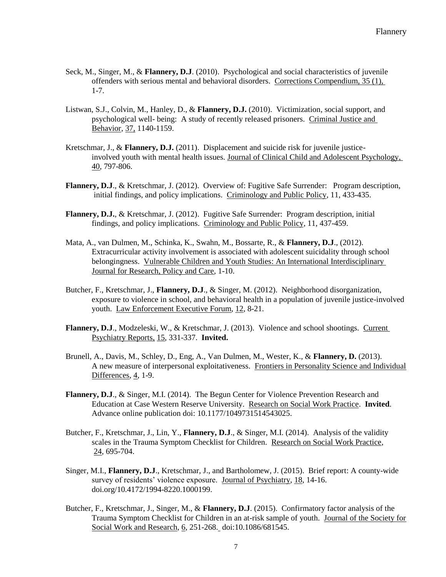- Seck, M., Singer, M., & **Flannery, D.J**. (2010). Psychological and social characteristics of juvenile offenders with serious mental and behavioral disorders. Corrections Compendium, 35 (1), 1-7.
- Listwan, S.J., Colvin, M., Hanley, D., & **Flannery, D.J.** (2010). Victimization, social support, and psychological well- being: A study of recently released prisoners. Criminal Justice and Behavior, 37, 1140-1159.
- Kretschmar, J., & **Flannery, D.J.** (2011). Displacement and suicide risk for juvenile justiceinvolved youth with mental health issues. Journal of Clinical Child and Adolescent Psychology, 40, 797-806.
- **Flannery, D.J**., & Kretschmar, J. (2012). Overview of: Fugitive Safe Surrender: Program description, initial findings, and policy implications. Criminology and Public Policy, 11, 433-435.
- **Flannery, D.J.**, & Kretschmar, J. (2012). Fugitive Safe Surrender: Program description, initial findings, and policy implications. Criminology and Public Policy, 11, 437-459.
- Mata, A., van Dulmen, M., Schinka, K., Swahn, M., Bossarte, R., & **Flannery, D.J**., (2012). Extracurricular activity involvement is associated with adolescent suicidality through school belongingness. Vulnerable Children and Youth Studies: An International Interdisciplinary Journal for Research, Policy and Care, 1-10.
- Butcher, F., Kretschmar, J., **Flannery, D.J**., & Singer, M. (2012). Neighborhood disorganization, exposure to violence in school, and behavioral health in a population of juvenile justice-involved youth. Law Enforcement Executive Forum, 12, 8-21.
- Flannery, D.J., Modzeleski, W., & Kretschmar, J. (2013). Violence and school shootings. Current Psychiatry Reports, 15, 331-337. **Invited.**
- Brunell, A., Davis, M., Schley, D., Eng, A., Van Dulmen, M., Wester, K., & **Flannery, D.** (2013). A new measure of interpersonal exploitativeness. Frontiers in Personality Science and Individual Differences, 4, 1-9.
- **Flannery, D.J**., & Singer, M.I. (2014). The Begun Center for Violence Prevention Research and Education at Case Western Reserve University. Research on Social Work Practice. **Invited**. Advance online publication doi: 10.1177/1049731514543025.
- Butcher, F., Kretschmar, J., Lin, Y., **Flannery, D.J**., & Singer, M.I. (2014). Analysis of the validity scales in the Trauma Symptom Checklist for Children. Research on Social Work Practice,  $24,695-704.$
- Singer, M.I., **Flannery, D.J**., Kretschmar, J., and Bartholomew, J. (2015). Brief report: A county-wide survey of residents' violence exposure. Journal of Psychiatry, 18, 14-16. doi.org/10.4172/1994-8220.1000199.
- Butcher, F., Kretschmar, J., Singer, M., & **Flannery, D.J**. (2015). Confirmatory factor analysis of the Trauma Symptom Checklist for Children in an at-risk sample of youth. Journal of the Society for Social Work and Research, 6, 251-268. doi:10.1086/681545.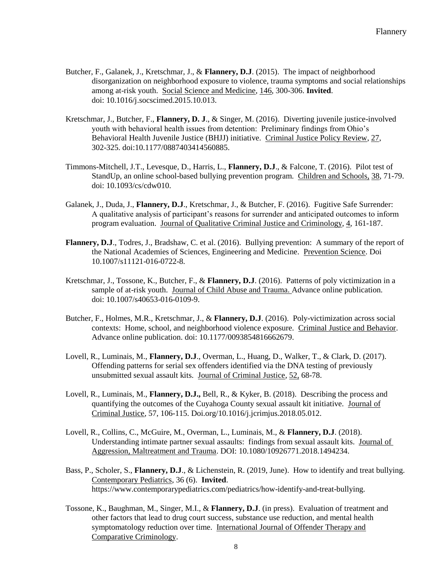- Butcher, F., Galanek, J., Kretschmar, J., & **Flannery, D.J**. (2015). The impact of neighborhood disorganization on neighborhood exposure to violence, trauma symptoms and social relationships among at-risk youth. Social Science and Medicine, 146, 300-306. **Invited**. doi: 10.1016/j.socscimed.2015.10.013.
- Kretschmar, J., Butcher, F., **Flannery, D. J**., & Singer, M. (2016). Diverting juvenile justice-involved youth with behavioral health issues from detention: Preliminary findings from Ohio's Behavioral Health Juvenile Justice (BHJJ) initiative. Criminal Justice Policy Review, 27, 302-325. doi:10.1177/0887403414560885.
- Timmons-Mitchell, J.T., Levesque, D., Harris, L., **Flannery, D.J**., & Falcone, T. (2016). Pilot test of StandUp, an online school-based bullying prevention program. Children and Schools, 38, 71-79. doi: 10.1093/cs/cdw010.
- Galanek, J., Duda, J., **Flannery, D.J**., Kretschmar, J., & Butcher, F. (2016). Fugitive Safe Surrender: A qualitative analysis of participant's reasons for surrender and anticipated outcomes to inform program evaluation. Journal of Qualitative Criminal Justice and Criminology, 4, 161-187.
- **Flannery, D.J**., Todres, J., Bradshaw, C. et al. (2016). Bullying prevention: A summary of the report of the National Academies of Sciences, Engineering and Medicine. Prevention Science. Doi 10.1007/s11121-016-0722-8.
- Kretschmar, J., Tossone, K., Butcher, F., & **Flannery, D.J**. (2016). Patterns of poly victimization in a sample of at-risk youth. Journal of Child Abuse and Trauma. Advance online publication. doi: 10.1007/s40653-016-0109-9.
- Butcher, F., Holmes, M.R., Kretschmar, J., & **Flannery, D.J**. (2016). Poly-victimization across social contexts: Home, school, and neighborhood violence exposure. Criminal Justice and Behavior. Advance online publication. doi: 10.1177/0093854816662679.
- Lovell, R., Luminais, M., **Flannery, D.J**., Overman, L., Huang, D., Walker, T., & Clark, D. (2017). Offending patterns for serial sex offenders identified via the DNA testing of previously unsubmitted sexual assault kits. Journal of Criminal Justice, 52, 68-78.
- Lovell, R., Luminais, M., **Flannery, D.J.,** Bell, R., & Kyker, B. (2018). Describing the process and quantifying the outcomes of the Cuyahoga County sexual assault kit initiative. Journal of Criminal Justice, 57, 106-115. Doi.org/10.1016/j.jcrimjus.2018.05.012.
- Lovell, R., Collins, C., McGuire, M., Overman, L., Luminais, M., & **Flannery, D.J**. (2018). Understanding intimate partner sexual assaults: findings from sexual assault kits. Journal of Aggression, Maltreatment and Trauma. DOI: 10.1080/10926771.2018.1494234.
- Bass, P., Scholer, S., **Flannery, D.J**., & Lichenstein, R. (2019, June). How to identify and treat bullying. Contemporary Pediatrics, 36 (6). **Invited**. https://www.contemporarypediatrics.com/pediatrics/how-identify-and-treat-bullying.
- Tossone, K., Baughman, M., Singer, M.I., & **Flannery, D.J**. (in press). Evaluation of treatment and other factors that lead to drug court success, substance use reduction, and mental health symptomatology reduction over time. International Journal of Offender Therapy and Comparative Criminology.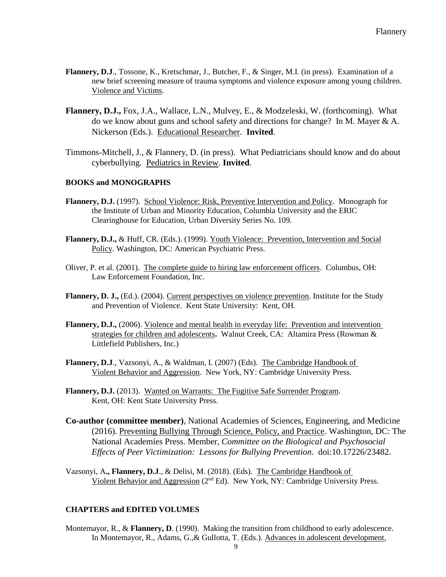- **Flannery, D.J**., Tossone, K., Kretschmar, J., Butcher, F., & Singer, M.I. (in press). Examination of a new brief screening measure of trauma symptoms and violence exposure among young children. Violence and Victims.
- **Flannery, D.J.,** Fox, J.A., Wallace, L.N., Mulvey, E., & Modzeleski, W. (forthcoming). What do we know about guns and school safety and directions for change? In M. Mayer & A. Nickerson (Eds.). Educational Researcher. **Invited**.
- Timmons-Mitchell, J., & Flannery, D. (in press). What Pediatricians should know and do about cyberbullying. Pediatrics in Review. **Invited**.

# **BOOKS and MONOGRAPHS**

- **Flannery, D.J.** (1997). School Violence: Risk, Preventive Intervention and Policy. Monograph for the Institute of Urban and Minority Education, Columbia University and the ERIC Clearinghouse for Education, Urban Diversity Series No. 109.
- **Flannery, D.J.,** & Huff, CR. (Eds.). (1999). Youth Violence: Prevention, Intervention and Social Policy. Washington, DC: American Psychiatric Press.
- Oliver, P. et al. (2001). The complete guide to hiring law enforcement officers. Columbus, OH: Law Enforcement Foundation, Inc.
- Flannery, D. J., (Ed.). (2004). Current perspectives on violence prevention. Institute for the Study and Prevention of Violence. Kent State University: Kent, OH.
- **Flannery, D.J.,** (2006). Violence and mental health in everyday life: Prevention and intervention strategies for children and adolescents**.** Walnut Creek, CA: Altamira Press (Rowman & Littlefield Publishers, Inc.)
- **Flannery, D.J**., Vazsonyi, A., & Waldman, I. (2007) (Eds). The Cambridge Handbook of Violent Behavior and Aggression. New York, NY: Cambridge University Press.
- **Flannery, D.J.** (2013). Wanted on Warrants: The Fugitive Safe Surrender Program. Kent, OH: Kent State University Press.
- **Co-author (committee member)**, National Academies of Sciences, Engineering, and Medicine (2016). Preventing Bullying Through Science, Policy, and Practice. Washington, DC: The National Academies Press. Member, *Committee on the Biological and Psychosocial Effects of Peer Victimization: Lessons for Bullying Prevention*. doi:10.17226/23482.
- Vazsonyi, A**., Flannery, D.J**., & Delisi, M. (2018). (Eds). The Cambridge Handbook of Violent Behavior and Aggression (2nd Ed). New York, NY: Cambridge University Press.

# **CHAPTERS and EDITED VOLUMES**

Montemayor, R., & Flannery, D. (1990). Making the transition from childhood to early adolescence. In Montemayor, R., Adams, G.,& Gullotta, T. (Eds.). Advances in adolescent development,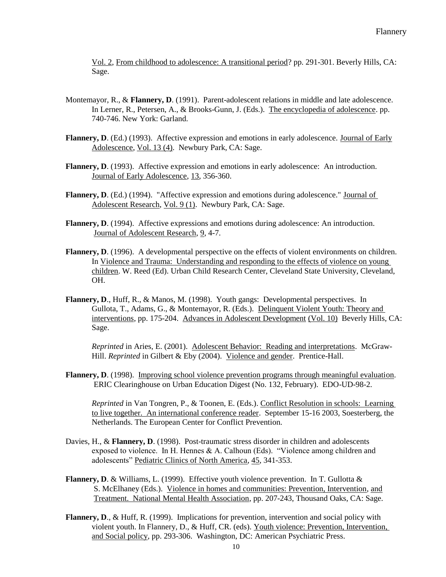Vol. 2, From childhood to adolescence: A transitional period? pp. 291-301. Beverly Hills, CA: Sage.

- Montemayor, R., & **Flannery, D.** (1991). Parent-adolescent relations in middle and late adolescence. In Lerner, R., Petersen, A., & Brooks-Gunn, J. (Eds.). The encyclopedia of adolescence. pp. 740-746. New York: Garland.
- **Flannery, D**. (Ed.) (1993). Affective expression and emotions in early adolescence. Journal of Early Adolescence, Vol. 13 (4). Newbury Park, CA: Sage.
- **Flannery, D**. (1993). Affective expression and emotions in early adolescence: An introduction. Journal of Early Adolescence, 13, 356-360.
- **Flannery, D**. (Ed.) (1994). "Affective expression and emotions during adolescence." Journal of Adolescent Research, Vol. 9 (1). Newbury Park, CA: Sage.
- **Flannery, D**. (1994). Affective expressions and emotions during adolescence: An introduction. Journal of Adolescent Research, 9, 4-7.
- **Flannery, D**. (1996). A developmental perspective on the effects of violent environments on children. In Violence and Trauma: Understanding and responding to the effects of violence on young children. W. Reed (Ed). Urban Child Research Center, Cleveland State University, Cleveland, OH.
- **Flannery, D**., Huff, R., & Manos, M. (1998). Youth gangs: Developmental perspectives. In Gullota, T., Adams, G., & Montemayor, R. (Eds.). Delinquent Violent Youth: Theory and interventions, pp. 175-204. Advances in Adolescent Development (Vol. 10) Beverly Hills, CA: Sage.

*Reprinted* in Aries, E. (2001). Adolescent Behavior: Reading and interpretations. McGraw-Hill. *Reprinted* in Gilbert & Eby (2004). Violence and gender. Prentice-Hall.

**Flannery, D**. (1998). Improving school violence prevention programs through meaningful evaluation. ERIC Clearinghouse on Urban Education Digest (No. 132, February). EDO-UD-98-2.

*Reprinted* in Van Tongren, P., & Toonen, E. (Eds.). Conflict Resolution in schools: Learning to live together. An international conference reader. September 15-16 2003, Soesterberg, the Netherlands. The European Center for Conflict Prevention.

- Davies, H., & **Flannery, D**. (1998). Post-traumatic stress disorder in children and adolescents exposed to violence. In H. Hennes & A. Calhoun (Eds). "Violence among children and adolescents" Pediatric Clinics of North America, 45, 341-353.
- **Flannery, D.** & Williams, L. (1999). Effective youth violence prevention. In T. Gullotta & S. McElhaney (Eds.). Violence in homes and communities: Prevention, Intervention, and Treatment. National Mental Health Association, pp. 207-243, Thousand Oaks, CA: Sage.
- **Flannery, D**., & Huff, R. (1999). Implications for prevention, intervention and social policy with violent youth. In Flannery, D., & Huff, CR. (eds). Youth violence: Prevention, Intervention, and Social policy, pp. 293-306. Washington, DC: American Psychiatric Press.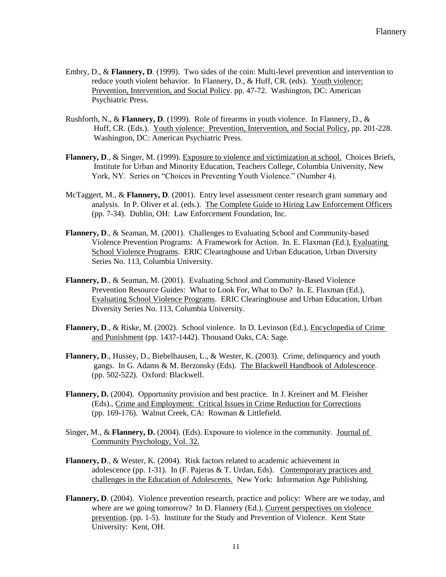- Embry, D., & **Flannery, D**. (1999). Two sides of the coin: Multi-level prevention and intervention to reduce youth violent behavior. In Flannery, D., & Huff, CR. (eds). Youth violence: Prevention, Intervention, and Social Policy. pp. 47-72. Washington, DC: American Psychiatric Press.
- Rushforth, N., & **Flannery, D**. (1999). Role of firearms in youth violence. In Flannery, D., & Huff, CR. (Eds.). Youth violence: Prevention, Intervention, and Social Policy, pp. 201-228. Washington, DC: American Psychiatric Press.
- **Flannery, D**., & Singer, M. (1999). Exposure to violence and victimization at school. Choices Briefs, Institute for Urban and Minority Education, Teachers College, Columbia University, New York, NY. Series on "Choices in Preventing Youth Violence." (Number 4).
- McTaggert, M., & **Flannery, D**. (2001). Entry level assessment center research grant summary and analysis. In P. Oliver et al. (eds.). The Complete Guide to Hiring Law Enforcement Officers (pp. 7-34). Dublin, OH: Law Enforcement Foundation, Inc.
- **Flannery, D**., & Seaman, M. (2001). Challenges to Evaluating School and Community-based Violence Prevention Programs: A Framework for Action. In. E. Flaxman (Ed.), Evaluating School Violence Programs. ERIC Clearinghouse and Urban Education, Urban Diversity Series No. 113, Columbia University.
- **Flannery, D**., & Seaman, M. (2001). Evaluating School and Community-Based Violence Prevention Resource Guides: What to Look For, What to Do? In. E. Flaxman (Ed.), Evaluating School Violence Programs. ERIC Clearinghouse and Urban Education, Urban Diversity Series No. 113, Columbia University.
- Flannery, D., & Riske, M. (2002). School violence. In D. Levinson (Ed.), Encyclopedia of Crime and Punishment (pp. 1437-1442). Thousand Oaks, CA: Sage.
- **Flannery, D**., Hussey, D., Biebelhausen, L., & Wester, K. (2003). Crime, delinquency and youth gangs. In G. Adams & M. Berzonsky (Eds). The Blackwell Handbook of Adolescence. (pp. 502-522). Oxford: Blackwell.
- **Flannery, D.** (2004). Opportunity provision and best practice. In J. Kreinert and M. Fleisher (Eds)., Crime and Employment: Critical Issues in Crime Reduction for Corrections (pp. 169-176). Walnut Creek, CA: Rowman & Littlefield.
- Singer, M., & Flannery, D. (2004). (Eds). Exposure to violence in the community. Journal of Community Psychology, Vol. 32.
- **Flannery, D**., & Wester, K. (2004). Risk factors related to academic achievement in adolescence (pp. 1-31). In (F. Pajeras  $&$  T. Urdan, Eds). Contemporary practices and challenges in the Education of Adolescents. New York: Information Age Publishing.
- **Flannery, D**. (2004). Violence prevention research, practice and policy: Where are we today, and where are we going tomorrow? In D. Flannery (Ed.), Current perspectives on violence prevention. (pp. 1-5). Institute for the Study and Prevention of Violence. Kent State University: Kent, OH.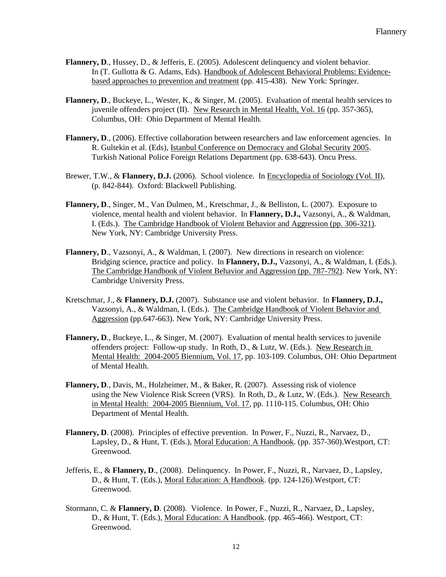- **Flannery, D**., Hussey, D., & Jefferis, E. (2005). Adolescent delinquency and violent behavior. In (T. Gullotta & G. Adams, Eds). Handbook of Adolescent Behavioral Problems: Evidencebased approaches to prevention and treatment (pp. 415-438). New York: Springer.
- **Flannery, D**., Buckeye, L., Wester, K., & Singer, M. (2005). Evaluation of mental health services to juvenile offenders project (II). New Research in Mental Health, Vol. 16 (pp. 357-365), Columbus, OH: Ohio Department of Mental Health.
- **Flannery, D**., (2006). Effective collaboration between researchers and law enforcement agencies. In R. Gultekin et al. (Eds), Istanbul Conference on Democracy and Global Security 2005. Turkish National Police Foreign Relations Department (pp. 638-643). Oncu Press.
- Brewer, T.W., & Flannery, D.J. (2006). School violence. In Encyclopedia of Sociology (Vol. II), (p. 842-844). Oxford: Blackwell Publishing.
- **Flannery, D**., Singer, M., Van Dulmen, M., Kretschmar, J., & Belliston, L. (2007). Exposure to violence, mental health and violent behavior. In **Flannery, D.J.,** Vazsonyi, A., & Waldman, I. (Eds.). The Cambridge Handbook of Violent Behavior and Aggression (pp. 306-321). New York, NY: Cambridge University Press.
- **Flannery, D**., Vazsonyi, A., & Waldman, I. (2007). New directions in research on violence: Bridging science, practice and policy. In **Flannery, D.J.,** Vazsonyi, A., & Waldman, I. (Eds.). The Cambridge Handbook of Violent Behavior and Aggression (pp. 787-792). New York, NY: Cambridge University Press.
- Kretschmar, J., & **Flannery, D.J.** (2007). Substance use and violent behavior. In **Flannery, D.J.,**  Vazsonyi, A., & Waldman, I. (Eds.). The Cambridge Handbook of Violent Behavior and Aggression (pp.647-663). New York, NY: Cambridge University Press.
- **Flannery, D**., Buckeye, L., & Singer, M. (2007). Evaluation of mental health services to juvenile offenders project: Follow-up study. In Roth, D., & Lutz, W. (Eds.). New Research in Mental Health: 2004-2005 Biennium, Vol. 17, pp. 103-109. Columbus, OH: Ohio Department of Mental Health.
- **Flannery, D.**, Davis, M., Holzheimer, M., & Baker, R. (2007). Assessing risk of violence using the New Violence Risk Screen (VRS). In Roth, D., & Lutz, W. (Eds.). New Research in Mental Health: 2004-2005 Biennium, Vol. 17, pp. 1110-115. Columbus, OH: Ohio Department of Mental Health.
- **Flannery, D**. (2008). Principles of effective prevention. In Power, F., Nuzzi, R., Narvaez, D., Lapsley, D., & Hunt, T. (Eds.), Moral Education: A Handbook. (pp. 357-360).Westport, CT: Greenwood.
- Jefferis, E., & **Flannery, D**., (2008). Delinquency. In Power, F., Nuzzi, R., Narvaez, D., Lapsley, D., & Hunt, T. (Eds.), Moral Education: A Handbook. (pp. 124-126).Westport, CT: Greenwood.
- Stormann, C. & **Flannery, D**. (2008). Violence. In Power, F., Nuzzi, R., Narvaez, D., Lapsley, D., & Hunt, T. (Eds.), Moral Education: A Handbook. (pp. 465-466). Westport, CT: Greenwood.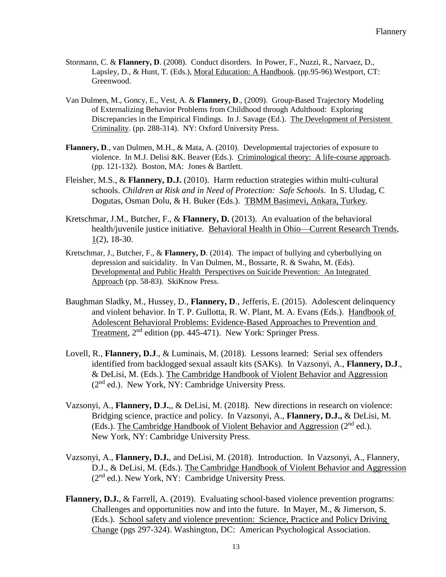- Stormann, C. & **Flannery, D**. (2008). Conduct disorders. In Power, F., Nuzzi, R., Narvaez, D., Lapsley, D., & Hunt, T. (Eds.), Moral Education: A Handbook. (pp.95-96).Westport, CT: Greenwood.
- Van Dulmen, M., Goncy, E., Vest, A. & **Flannery, D**., (2009). Group-Based Trajectory Modeling of Externalizing Behavior Problems from Childhood through Adulthood: Exploring Discrepancies in the Empirical Findings. In J. Savage (Ed.). The Development of Persistent Criminality. (pp. 288-314). NY: Oxford University Press.
- **Flannery, D**., van Dulmen, M.H., & Mata, A. (2010). Developmental trajectories of exposure to violence. In M.J. Delisi &K. Beaver (Eds.). Criminological theory: A life-course approach. (pp. 121-132). Boston, MA: Jones & Bartlett.
- Fleisher, M.S., & **Flannery, D.J.** (2010). Harm reduction strategies within multi-cultural schools. *Children at Risk and in Need of Protection: Safe Schools*. In S. Uludag, C Dogutas, Osman Dolu, & H. Buker (Eds.). TBMM Basimevi, Ankara, Turkey.
- Kretschmar, J.M., Butcher, F., & **Flannery, D.** (2013). An evaluation of the behavioral health/juvenile justice initiative. Behavioral Health in Ohio—Current Research Trends, 1(2), 18-30.
- Kretschmar, J., Butcher, F., & **Flannery, D**. (2014). The impact of bullying and cyberbullying on depression and suicidality. In Van Dulmen, M., Bossarte, R. & Swahn, M. (Eds). Developmental and Public Health Perspectives on Suicide Prevention: An Integrated Approach (pp. 58-83). SkiKnow Press.
- Baughman Sladky, M., Hussey, D., **Flannery, D**., Jefferis, E. (2015). Adolescent delinquency and violent behavior. In T. P. Gullotta, R. W. Plant, M. A. Evans (Eds.). Handbook of Adolescent Behavioral Problems: Evidence-Based Approaches to Prevention and Treatment, 2<sup>nd</sup> edition (pp. 445-471). New York: Springer Press.
- Lovell, R., **Flannery, D.J**., & Luminais, M. (2018). Lessons learned: Serial sex offenders identified from backlogged sexual assault kits (SAKs). In Vazsonyi, A., **Flannery, D.J**., & DeLisi, M. (Eds.). The Cambridge Handbook of Violent Behavior and Aggression  $(2<sup>nd</sup>$  ed.). New York, NY: Cambridge University Press.
- Vazsonyi, A., **Flannery, D**.**J.**,, & DeLisi, M. (2018). New directions in research on violence: Bridging science, practice and policy. In Vazsonyi, A., **Flannery, D.J.,** & DeLisi, M. (Eds.). The Cambridge Handbook of Violent Behavior and Aggression  $(2^{nd}$  ed.). New York, NY: Cambridge University Press.
- Vazsonyi, A., **Flannery, D.J.**, and DeLisi, M. (2018). Introduction. In Vazsonyi, A., Flannery, D.J., & DeLisi, M. (Eds.). The Cambridge Handbook of Violent Behavior and Aggression (2nd ed.). New York, NY: Cambridge University Press.
- **Flannery, D.J.**, & Farrell, A. (2019). Evaluating school-based violence prevention programs: Challenges and opportunities now and into the future. In Mayer, M., & Jimerson, S. (Eds.). School safety and violence prevention: Science, Practice and Policy Driving Change (pgs 297-324). Washington, DC: American Psychological Association.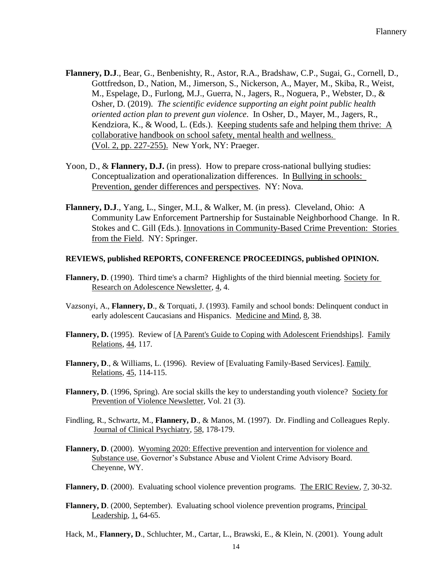- **Flannery, D.J**., Bear, G., Benbenishty, R., Astor, R.A., Bradshaw, C.P., Sugai, G., Cornell, D., Gottfredson, D., Nation, M., Jimerson, S., Nickerson, A., Mayer, M., Skiba, R., Weist, M., Espelage, D., Furlong, M.J., Guerra, N., Jagers, R., Noguera, P., Webster, D., & Osher, D. (2019). *The scientific evidence supporting an eight point public health oriented action plan to prevent gun violence*. In Osher, D., Mayer, M., Jagers, R., Kendziora, K., & Wood, L. (Eds.). Keeping students safe and helping them thrive: A collaborative handbook on school safety, mental health and wellness. (Vol. 2, pp. 227-255). New York, NY: Praeger.
- Yoon, D., & **Flannery, D.J.** (in press). How to prepare cross-national bullying studies: Conceptualization and operationalization differences. In Bullying in schools: Prevention, gender differences and perspectives. NY: Nova.
- **Flannery, D.J**., Yang, L., Singer, M.I., & Walker, M. (in press). Cleveland, Ohio: A Community Law Enforcement Partnership for Sustainable Neighborhood Change. In R. Stokes and C. Gill (Eds.). Innovations in Community-Based Crime Prevention: Stories from the Field. NY: Springer.

### **REVIEWS, published REPORTS, CONFERENCE PROCEEDINGS, published OPINION.**

- **Flannery, D.** (1990). Third time's a charm? Highlights of the third biennial meeting. Society for Research on Adolescence Newsletter, 4, 4.
- Vazsonyi, A., **Flannery, D**., & Torquati, J. (1993). Family and school bonds: Delinquent conduct in early adolescent Caucasians and Hispanics. Medicine and Mind, 8, 38.
- **Flannery, D.** (1995). Review of [A Parent's Guide to Coping with Adolescent Friendships]. Family Relations, 44, 117.
- **Flannery, D**., & Williams, L. (1996). Review of [Evaluating Family-Based Services]. Family Relations, 45, 114-115.
- **Flannery, D**. (1996, Spring). Are social skills the key to understanding youth violence? Society for Prevention of Violence Newsletter, Vol. 21 (3).
- Findling, R., Schwartz, M., **Flannery, D**., & Manos, M. (1997). Dr. Findling and Colleagues Reply. Journal of Clinical Psychiatry, 58, 178-179.
- **Flannery, D**. (2000). Wyoming 2020: Effective prevention and intervention for violence and Substance use. Governor's Substance Abuse and Violent Crime Advisory Board. Cheyenne, WY.
- **Flannery, D**. (2000). Evaluating school violence prevention programs. The ERIC Review, 7, 30-32.
- **Flannery, D**. (2000, September). Evaluating school violence prevention programs, Principal Leadership, 1, 64-65.
- Hack, M., **Flannery, D**., Schluchter, M., Cartar, L., Brawski, E., & Klein, N. (2001). Young adult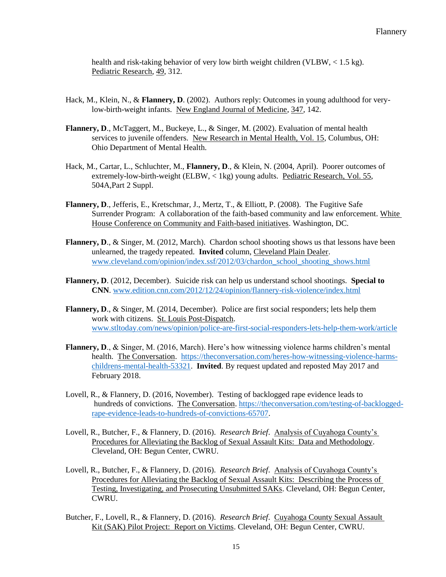health and risk-taking behavior of very low birth weight children (VLBW, < 1.5 kg). Pediatric Research, 49, 312.

- Hack, M., Klein, N., & Flannery, D. (2002). Authors reply: Outcomes in young adulthood for verylow-birth-weight infants. New England Journal of Medicine, 347, 142.
- **Flannery, D**., McTaggert, M., Buckeye, L., & Singer, M. (2002). Evaluation of mental health services to juvenile offenders. New Research in Mental Health, Vol. 15, Columbus, OH: Ohio Department of Mental Health.
- Hack, M., Cartar, L., Schluchter, M., **Flannery, D**., & Klein, N. (2004, April). Poorer outcomes of extremely-low-birth-weight (ELBW, < 1kg) young adults. Pediatric Research, Vol. 55, 504A,Part 2 Suppl.
- **Flannery, D**., Jefferis, E., Kretschmar, J., Mertz, T., & Elliott, P. (2008). The Fugitive Safe Surrender Program: A collaboration of the faith-based community and law enforcement. White House Conference on Community and Faith-based initiatives. Washington, DC.
- **Flannery, D., & Singer, M. (2012, March). Chardon school shooting shows us that lessons have been** unlearned, the tragedy repeated. **Invited** column, Cleveland Plain Dealer. [www.cleveland.com/opinion/index.ssf/2012/03/chardon\\_school\\_shooting\\_shows.html](http://www.cleveland.com/opinion/index.ssf/2012/03/chardon_school_shooting_shows.html)
- **Flannery, D**. (2012, December). Suicide risk can help us understand school shootings. **Special to CNN**. [www.edition.cnn.com/2012/12/24/opinion/flannery-risk-violence/index.html](http://www.edition.cnn.com/2012/12/24/opinion/flannery-risk-violence/index.html)
- **Flannery, D**., & Singer, M. (2014, December). Police are first social responders; lets help them work with citizens. St. Louis Post-Dispatch. [www.stltoday.com/news/opinion/police-are-first-social-responders-lets-help-them-work/article](http://www.stltoday.com/news/opinion/police-are-first-social-responders-lets-help-them-work/article)
- **Flannery, D**., & Singer, M. (2016, March). Here's how witnessing violence harms children's mental health. The Conversation. [https://theconversation.com/heres-how-witnessing-violence-harms](https://theconversation.com/heres-how-witnessing-violence-harms-childrens-mental-health-53321)[childrens-mental-health-53321.](https://theconversation.com/heres-how-witnessing-violence-harms-childrens-mental-health-53321) **Invited**. By request updated and reposted May 2017 and February 2018.
- Lovell, R., & Flannery, D. (2016, November). Testing of backlogged rape evidence leads to hundreds of convictions. The Conversation. [https://theconversation.com/testing-of-backlogged](https://theconversation.com/testing-of-backlogged-rape-evidence-leads-to-hundreds-of-convictions-65707)[rape-evidence-leads-to-hundreds-of-convictions-65707.](https://theconversation.com/testing-of-backlogged-rape-evidence-leads-to-hundreds-of-convictions-65707)
- Lovell, R., Butcher, F., & Flannery, D. (2016). *Research Brief*. Analysis of Cuyahoga County's Procedures for Alleviating the Backlog of Sexual Assault Kits: Data and Methodology. Cleveland, OH: Begun Center, CWRU.
- Lovell, R., Butcher, F., & Flannery, D. (2016). *Research Brief*. Analysis of Cuyahoga County's Procedures for Alleviating the Backlog of Sexual Assault Kits: Describing the Process of Testing, Investigating, and Prosecuting Unsubmitted SAKs. Cleveland, OH: Begun Center, CWRU.
- Butcher, F., Lovell, R., & Flannery, D. (2016). *Research Brief*. Cuyahoga County Sexual Assault Kit (SAK) Pilot Project: Report on Victims. Cleveland, OH: Begun Center, CWRU.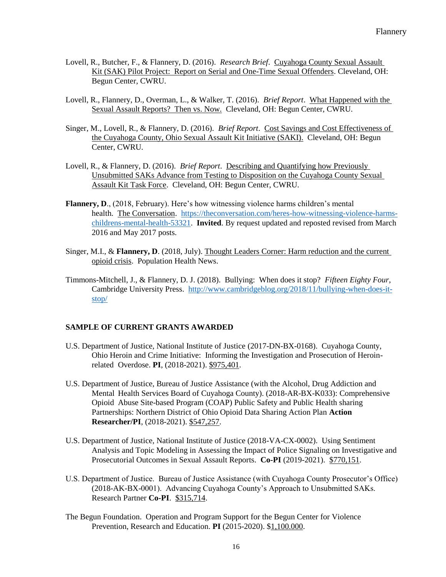- Lovell, R., Butcher, F., & Flannery, D. (2016). *Research Brief*. Cuyahoga County Sexual Assault Kit (SAK) Pilot Project: Report on Serial and One-Time Sexual Offenders. Cleveland, OH: Begun Center, CWRU.
- Lovell, R., Flannery, D., Overman, L., & Walker, T. (2016). *Brief Report*. What Happened with the Sexual Assault Reports? Then vs. Now. Cleveland, OH: Begun Center, CWRU.
- Singer, M., Lovell, R., & Flannery, D. (2016). *Brief Report*. Cost Savings and Cost Effectiveness of the Cuyahoga County, Ohio Sexual Assault Kit Initiative (SAKI). Cleveland, OH: Begun Center, CWRU.
- Lovell, R., & Flannery, D. (2016). *Brief Report*. Describing and Quantifying how Previously Unsubmitted SAKs Advance from Testing to Disposition on the Cuyahoga County Sexual Assault Kit Task Force. Cleveland, OH: Begun Center, CWRU.
- **Flannery, D.**, (2018, February). Here's how witnessing violence harms children's mental health. The Conversation. [https://theconversation.com/heres-how-witnessing-violence-harms](https://theconversation.com/heres-how-witnessing-violence-harms-childrens-mental-health-53321)[childrens-mental-health-53321.](https://theconversation.com/heres-how-witnessing-violence-harms-childrens-mental-health-53321) **Invited**. By request updated and reposted revised from March 2016 and May 2017 posts.
- Singer, M.I., & **Flannery, D**. (2018, July). Thought Leaders Corner: Harm reduction and the current opioid crisis. Population Health News.
- Timmons-Mitchell, J., & Flannery, D. J. (2018). Bullying: When does it stop? *Fifteen Eighty Four*, Cambridge University Press. [http://www.cambridgeblog.org/2018/11/bullying-when-does-it](http://www.cambridgeblog.org/2018/11/bullying-when-does-it-stop/)[stop/](http://www.cambridgeblog.org/2018/11/bullying-when-does-it-stop/)

# **SAMPLE OF CURRENT GRANTS AWARDED**

- U.S. Department of Justice, National Institute of Justice (2017-DN-BX-0168). Cuyahoga County, Ohio Heroin and Crime Initiative: Informing the Investigation and Prosecution of Heroinrelated Overdose. **PI**, (2018-2021). \$975,401.
- U.S. Department of Justice, Bureau of Justice Assistance (with the Alcohol, Drug Addiction and Mental Health Services Board of Cuyahoga County). (2018-AR-BX-K033): Comprehensive Opioid Abuse Site-based Program (COAP) Public Safety and Public Health sharing Partnerships: Northern District of Ohio Opioid Data Sharing Action Plan **Action Researcher/PI**, (2018-2021). \$547,257.
- U.S. Department of Justice, National Institute of Justice (2018-VA-CX-0002). Using Sentiment Analysis and Topic Modeling in Assessing the Impact of Police Signaling on Investigative and Prosecutorial Outcomes in Sexual Assault Reports. **Co-PI** (2019-2021). \$770,151.
- U.S. Department of Justice. Bureau of Justice Assistance (with Cuyahoga County Prosecutor's Office) (2018-AK-BX-0001). Advancing Cuyahoga County's Approach to Unsubmitted SAKs. Research Partner **Co-PI**. \$315,714.
- The Begun Foundation. Operation and Program Support for the Begun Center for Violence Prevention, Research and Education. **PI** (2015-2020). \$1,100.000.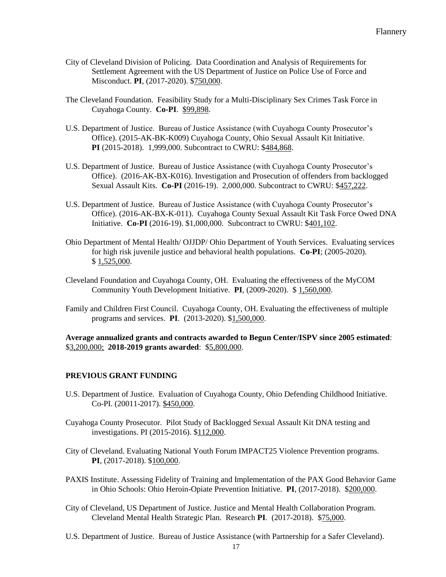- City of Cleveland Division of Policing. Data Coordination and Analysis of Requirements for Settlement Agreement with the US Department of Justice on Police Use of Force and Misconduct. **PI**, (2017-2020). \$750,000.
- The Cleveland Foundation. Feasibility Study for a Multi-Disciplinary Sex Crimes Task Force in Cuyahoga County. **Co-PI**. \$99,898.
- U.S. Department of Justice. Bureau of Justice Assistance (with Cuyahoga County Prosecutor's Office). (2015-AK-BK-K009) Cuyahoga County, Ohio Sexual Assault Kit Initiative. **PI** (2015-2018). 1,999,000. Subcontract to CWRU: \$484,868.
- U.S. Department of Justice. Bureau of Justice Assistance (with Cuyahoga County Prosecutor's Office). (2016-AK-BX-K016). Investigation and Prosecution of offenders from backlogged Sexual Assault Kits. **Co-PI** (2016-19). 2,000,000. Subcontract to CWRU: \$457,222.
- U.S. Department of Justice. Bureau of Justice Assistance (with Cuyahoga County Prosecutor's Office). (2016-AK-BX-K-011). Cuyahoga County Sexual Assault Kit Task Force Owed DNA Initiative. **Co-PI** (2016-19). \$1,000,000. Subcontract to CWRU: \$401,102.
- Ohio Department of Mental Health/ OJJDP/ Ohio Department of Youth Services. Evaluating services for high risk juvenile justice and behavioral health populations. **Co**-**PI**; (2005-2020). \$ 1,525,000.
- Cleveland Foundation and Cuyahoga County, OH. Evaluating the effectiveness of the MyCOM Community Youth Development Initiative. **PI**, (2009-2020). \$ 1,560,000.
- Family and Children First Council. Cuyahoga County, OH. Evaluating the effectiveness of multiple programs and services. **PI**. (2013-2020). \$1,500,000.

**Average annualized grants and contracts awarded to Begun Center/ISPV since 2005 estimated**: \$3,200,000; **2018-2019 grants awarded**: \$5,800,000.

# **PREVIOUS GRANT FUNDING**

- U.S. Department of Justice. Evaluation of Cuyahoga County, Ohio Defending Childhood Initiative. Co-PI. (20011-2017). \$450,000.
- Cuyahoga County Prosecutor. Pilot Study of Backlogged Sexual Assault Kit DNA testing and investigations. PI (2015-2016). \$112,000.
- City of Cleveland. Evaluating National Youth Forum IMPACT25 Violence Prevention programs. **PI**, (2017-2018). \$100,000.
- PAXIS Institute. Assessing Fidelity of Training and Implementation of the PAX Good Behavior Game in Ohio Schools: Ohio Heroin-Opiate Prevention Initiative. **PI**, (2017-2018). \$200,000.
- City of Cleveland, US Department of Justice. Justice and Mental Health Collaboration Program. Cleveland Mental Health Strategic Plan. Research **PI**. (2017-2018). \$75,000.
- U.S. Department of Justice. Bureau of Justice Assistance (with Partnership for a Safer Cleveland).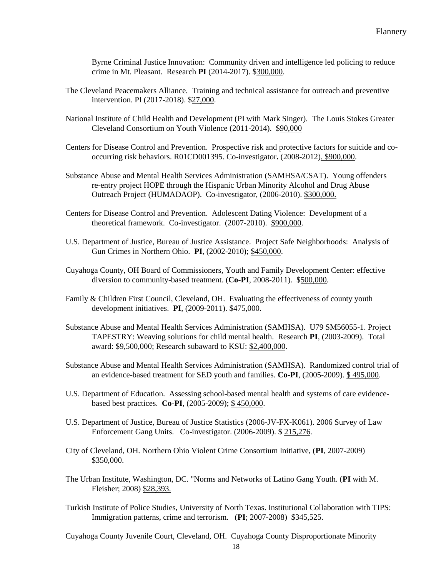Byrne Criminal Justice Innovation: Community driven and intelligence led policing to reduce crime in Mt. Pleasant. Research **PI** (2014-2017). \$300,000.

- The Cleveland Peacemakers Alliance. Training and technical assistance for outreach and preventive intervention. PI (2017-2018). \$27,000.
- National Institute of Child Health and Development (PI with Mark Singer). The Louis Stokes Greater Cleveland Consortium on Youth Violence (2011-2014). \$90,000
- Centers for Disease Control and Prevention. Prospective risk and protective factors for suicide and cooccurring risk behaviors. R01CD001395. Co-investigator**.** (2008-2012). \$900,000.
- Substance Abuse and Mental Health Services Administration (SAMHSA/CSAT). Young offenders re-entry project HOPE through the Hispanic Urban Minority Alcohol and Drug Abuse Outreach Project (HUMADAOP). Co-investigator, (2006-2010). \$300,000.
- Centers for Disease Control and Prevention. Adolescent Dating Violence: Development of a theoretical framework. Co-investigator. (2007-2010). \$900,000.
- U.S. Department of Justice, Bureau of Justice Assistance. Project Safe Neighborhoods: Analysis of Gun Crimes in Northern Ohio. **PI**, (2002-2010); \$450,000.
- Cuyahoga County, OH Board of Commissioners, Youth and Family Development Center: effective diversion to community-based treatment. (**Co-PI**, 2008-2011). \$500,000.
- Family & Children First Council, Cleveland, OH. Evaluating the effectiveness of county youth development initiatives. **PI**, (2009-2011). \$475,000.
- Substance Abuse and Mental Health Services Administration (SAMHSA). U79 SM56055-1. Project TAPESTRY: Weaving solutions for child mental health. Research **PI**, (2003-2009). Total award: \$9,500,000; Research subaward to KSU: \$2,400,000.
- Substance Abuse and Mental Health Services Administration (SAMHSA). Randomized control trial of an evidence-based treatment for SED youth and families. **Co-PI**, (2005-2009). \$ 495,000.
- U.S. Department of Education. Assessing school-based mental health and systems of care evidencebased best practices. **Co-PI**, (2005-2009); \$ 450,000.
- U.S. Department of Justice, Bureau of Justice Statistics (2006-JV-FX-K061). 2006 Survey of Law Enforcement Gang Units. Co-investigator. (2006-2009). \$ 215,276.
- City of Cleveland, OH. Northern Ohio Violent Crime Consortium Initiative, (**PI**, 2007-2009) \$350,000.
- The Urban Institute, Washington, DC. "Norms and Networks of Latino Gang Youth. (**PI** with M. Fleisher; 2008) \$28,393.
- Turkish Institute of Police Studies, University of North Texas. Institutional Collaboration with TIPS: Immigration patterns, crime and terrorism. (**PI**; 2007-2008) \$345,525.

Cuyahoga County Juvenile Court, Cleveland, OH. Cuyahoga County Disproportionate Minority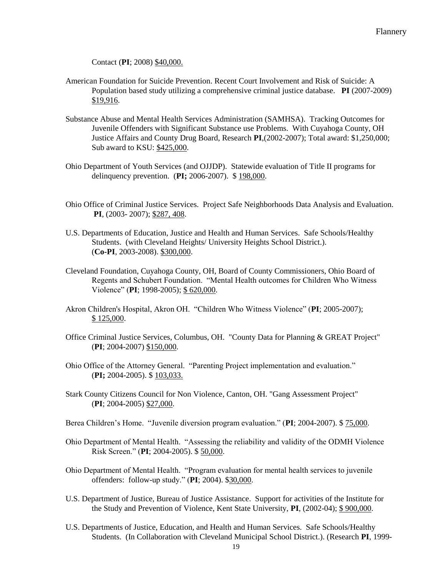Contact (**PI**; 2008) \$40,000.

- American Foundation for Suicide Prevention. Recent Court Involvement and Risk of Suicide: A Population based study utilizing a comprehensive criminal justice database. **PI** (2007-2009) \$19,916.
- Substance Abuse and Mental Health Services Administration (SAMHSA). Tracking Outcomes for Juvenile Offenders with Significant Substance use Problems. With Cuyahoga County, OH Justice Affairs and County Drug Board, Research **PI**,(2002-2007); Total award: \$1,250,000; Sub award to KSU: \$425,000.
- Ohio Department of Youth Services (and OJJDP). Statewide evaluation of Title II programs for delinquency prevention. (**PI;** 2006-2007). \$ 198,000.
- Ohio Office of Criminal Justice Services. Project Safe Neighborhoods Data Analysis and Evaluation. **PI**, (2003- 2007); \$287, 408.
- U.S. Departments of Education, Justice and Health and Human Services. Safe Schools/Healthy Students. (with Cleveland Heights/ University Heights School District.). (**Co-PI**, 2003-2008). \$300,000.
- Cleveland Foundation, Cuyahoga County, OH, Board of County Commissioners, Ohio Board of Regents and Schubert Foundation. "Mental Health outcomes for Children Who Witness Violence" (**PI**; 1998-2005); \$ 620,000.
- Akron Children's Hospital, Akron OH. "Children Who Witness Violence" (**PI**; 2005-2007); \$ 125,000.
- Office Criminal Justice Services, Columbus, OH. "County Data for Planning & GREAT Project" (**PI**; 2004-2007) \$150,000.
- Ohio Office of the Attorney General. "Parenting Project implementation and evaluation." (**PI;** 2004-2005). \$ 103,033.
- Stark County Citizens Council for Non Violence, Canton, OH. "Gang Assessment Project" (**PI**; 2004-2005) \$27,000.
- Berea Children's Home. "Juvenile diversion program evaluation." (**PI**; 2004-2007). \$ 75,000.
- Ohio Department of Mental Health. "Assessing the reliability and validity of the ODMH Violence Risk Screen." (**PI**; 2004-2005). \$ 50,000.
- Ohio Department of Mental Health. "Program evaluation for mental health services to juvenile offenders: follow-up study." (**PI**; 2004). \$30,000.
- U.S. Department of Justice, Bureau of Justice Assistance. Support for activities of the Institute for the Study and Prevention of Violence, Kent State University, **PI**, (2002-04); \$ 900,000.
- U.S. Departments of Justice, Education, and Health and Human Services. Safe Schools/Healthy Students. (In Collaboration with Cleveland Municipal School District.). (Research **PI**, 1999-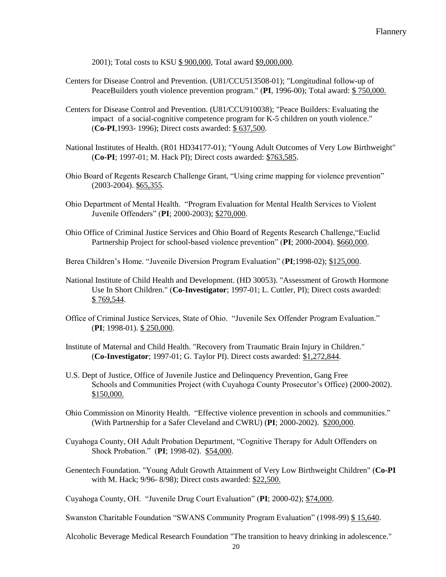2001); Total costs to KSU \$ 900,000, Total award \$9,000,000.

- Centers for Disease Control and Prevention. (U81/CCU513508-01); "Longitudinal follow-up of PeaceBuilders youth violence prevention program." (**PI**, 1996-00); Total award: \$ 750,000.
- Centers for Disease Control and Prevention. (U81/CCU910038); "Peace Builders: Evaluating the impact of a social-cognitive competence program for K-5 children on youth violence." (**Co-PI**,1993- 1996); Direct costs awarded: \$ 637,500.
- National Institutes of Health. (R01 HD34177-01); "Young Adult Outcomes of Very Low Birthweight" (**Co-PI**; 1997-01; M. Hack PI); Direct costs awarded: \$763,585.
- Ohio Board of Regents Research Challenge Grant, "Using crime mapping for violence prevention" (2003-2004). \$65,355.
- Ohio Department of Mental Health. "Program Evaluation for Mental Health Services to Violent Juvenile Offenders" (**PI**; 2000-2003); \$270,000.
- Ohio Office of Criminal Justice Services and Ohio Board of Regents Research Challenge,"Euclid Partnership Project for school-based violence prevention" (PI; 2000-2004). \$660,000.
- Berea Children's Home. "Juvenile Diversion Program Evaluation" (**PI**;1998-02); \$125,000.
- National Institute of Child Health and Development. (HD 30053). "Assessment of Growth Hormone Use In Short Children." (**Co-Investigator**; 1997-01; L. Cuttler, PI); Direct costs awarded: \$ 769,544.
- Office of Criminal Justice Services, State of Ohio. "Juvenile Sex Offender Program Evaluation." (**PI**; 1998-01). \$ 250,000.
- Institute of Maternal and Child Health. "Recovery from Traumatic Brain Injury in Children." (**Co-Investigator**; 1997-01; G. Taylor PI). Direct costs awarded: \$1,272,844.
- U.S. Dept of Justice, Office of Juvenile Justice and Delinquency Prevention, Gang Free Schools and Communities Project (with Cuyahoga County Prosecutor's Office) (2000-2002). \$150,000.
- Ohio Commission on Minority Health. "Effective violence prevention in schools and communities." (With Partnership for a Safer Cleveland and CWRU) (**PI**; 2000-2002). \$200,000.
- Cuyahoga County, OH Adult Probation Department, "Cognitive Therapy for Adult Offenders on Shock Probation." (**PI**; 1998-02). \$54,000.
- Genentech Foundation. "Young Adult Growth Attainment of Very Low Birthweight Children" (**Co-PI** with M. Hack; 9/96- 8/98); Direct costs awarded: \$22,500.

Cuyahoga County, OH. "Juvenile Drug Court Evaluation" (**PI**; 2000-02); \$74,000.

Swanston Charitable Foundation "SWANS Community Program Evaluation" (1998-99) \$ 15,640.

Alcoholic Beverage Medical Research Foundation "The transition to heavy drinking in adolescence."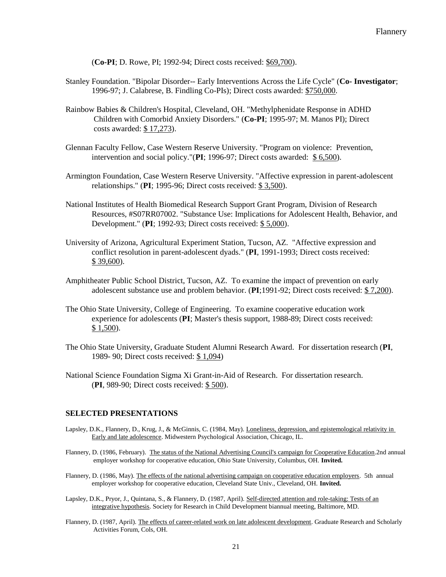(**Co-PI**; D. Rowe, PI; 1992-94; Direct costs received: \$69,700).

- Stanley Foundation. "Bipolar Disorder-- Early Interventions Across the Life Cycle" (**Co- Investigator**; 1996-97; J. Calabrese, B. Findling Co-PIs); Direct costs awarded: \$750,000.
- Rainbow Babies & Children's Hospital, Cleveland, OH. "Methylphenidate Response in ADHD Children with Comorbid Anxiety Disorders." (**Co-PI**; 1995-97; M. Manos PI); Direct costs awarded: \$ 17,273).
- Glennan Faculty Fellow, Case Western Reserve University. "Program on violence: Prevention, intervention and social policy."(**PI**; 1996-97; Direct costs awarded: \$ 6,500).
- Armington Foundation, Case Western Reserve University. "Affective expression in parent-adolescent relationships." (**PI**; 1995-96; Direct costs received: \$ 3,500).
- National Institutes of Health Biomedical Research Support Grant Program, Division of Research Resources, #S07RR07002. "Substance Use: Implications for Adolescent Health, Behavior, and Development." (**PI**; 1992-93; Direct costs received: \$ 5,000).
- University of Arizona, Agricultural Experiment Station, Tucson, AZ. "Affective expression and conflict resolution in parent-adolescent dyads." (**PI**, 1991-1993; Direct costs received: \$ 39,600).
- Amphitheater Public School District, Tucson, AZ. To examine the impact of prevention on early adolescent substance use and problem behavior. (**PI**;1991-92; Direct costs received: \$ 7,200).
- The Ohio State University, College of Engineering. To examine cooperative education work experience for adolescents (**PI**; Master's thesis support, 1988-89; Direct costs received: \$ 1,500).
- The Ohio State University, Graduate Student Alumni Research Award. For dissertation research (**PI**, 1989- 90; Direct costs received: \$ 1,094)
- National Science Foundation Sigma Xi Grant-in-Aid of Research. For dissertation research. (**PI**, 989-90; Direct costs received: \$ 500).

#### **SELECTED PRESENTATIONS**

- Lapsley, D.K., Flannery, D., Krug, J., & McGinnis, C. (1984, May). Loneliness, depression, and epistemological relativity in Early and late adolescence. Midwestern Psychological Association, Chicago, IL.
- Flannery, D. (1986, February). The status of the National Advertising Council's campaign for Cooperative Education.2nd annual employer workshop for cooperative education, Ohio State University, Columbus, OH. **Invited.**
- Flannery, D. (1986, May). The effects of the national advertising campaign on cooperative education employers. 5th annual employer workshop for cooperative education, Cleveland State Univ., Cleveland, OH. **Invited.**
- Lapsley, D.K., Pryor, J., Quintana, S., & Flannery, D. (1987, April). Self-directed attention and role-taking: Tests of an integrative hypothesis. Society for Research in Child Development biannual meeting, Baltimore, MD.
- Flannery, D. (1987, April). The effects of career-related work on late adolescent development. Graduate Research and Scholarly Activities Forum, Cols, OH.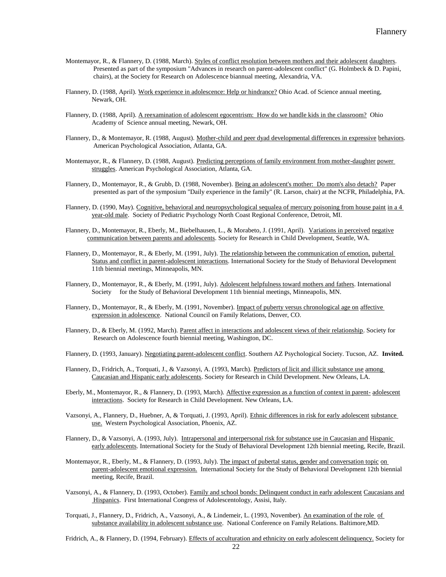- Montemayor, R., & Flannery, D. (1988, March). Styles of conflict resolution between mothers and their adolescent daughters. Presented as part of the symposium "Advances in research on parent-adolescent conflict" (G. Holmbeck & D. Papini, chairs), at the Society for Research on Adolescence biannual meeting, Alexandria, VA.
- Flannery, D. (1988, April). Work experience in adolescence: Help or hindrance? Ohio Acad. of Science annual meeting, Newark, OH.
- Flannery, D. (1988, April). A reexamination of adolescent egocentrism: How do we handle kids in the classroom? Ohio Academy of Science annual meeting, Newark, OH.
- Flannery, D., & Montemayor, R. (1988, August). Mother-child and peer dyad developmental differences in expressive behaviors. American Psychological Association, Atlanta, GA.
- Montemayor, R., & Flannery, D. (1988, August). Predicting perceptions of family environment from mother-daughter power struggles. American Psychological Association, Atlanta, GA.
- Flannery, D., Montemayor, R., & Grubb, D. (1988, November). Being an adolescent's mother: Do mom's also detach? Paper presented as part of the symposium "Daily experience in the family" (R. Larson, chair) at the NCFR, Philadelphia, PA.
- Flannery, D. (1990, May). Cognitive, behavioral and neuropsychological sequalea of mercury poisoning from house paint in a 4 year-old male. Society of Pediatric Psychology North Coast Regional Conference, Detroit, MI.
- Flannery, D., Montemayor, R., Eberly, M., Biebelhausen, L., & Morabeto, J. (1991, April). Variations in perceived negative communication between parents and adolescents. Society for Research in Child Development, Seattle, WA.
- Flannery, D., Montemayor, R., & Eberly, M. (1991, July). The relationship between the communication of emotion, pubertal Status and conflict in parent-adolescent interactions. International Society for the Study of Behavioral Development 11th biennial meetings, Minneapolis, MN.
- Flannery, D., Montemayor, R., & Eberly, M. (1991, July). Adolescent helpfulness toward mothers and fathers. International Society for the Study of Behavioral Development 11th biennial meetings, Minneapolis, MN.
- Flannery, D., Montemayor, R., & Eberly, M. (1991, November). Impact of puberty versus chronological age on affective expression in adolescence. National Council on Family Relations, Denver, CO.
- Flannery, D., & Eberly, M. (1992, March). Parent affect in interactions and adolescent views of their relationship. Society for Research on Adolescence fourth biennial meeting, Washington, DC.
- Flannery, D. (1993, January). Negotiating parent-adolescent conflict. Southern AZ Psychological Society. Tucson, AZ. **Invited.**
- Flannery, D., Fridrich, A., Torquati, J., & Vazsonyi, A. (1993, March). Predictors of licit and illicit substance use among Caucasian and Hispanic early adolescents. Society for Research in Child Development. New Orleans, LA.
- Eberly, M., Montemayor, R., & Flannery, D. (1993, March). Affective expression as a function of context in parent- adolescent interactions. Society for Research in Child Development. New Orleans, LA.
- Vazsonyi, A., Flannery, D., Huebner, A, & Torquati, J. (1993, April). Ethnic differences in risk for early adolescent substance use. Western Psychological Association, Phoenix, AZ.
- Flannery, D., & Vazsonyi, A. (1993, July). Intrapersonal and interpersonal risk for substance use in Caucasian and Hispanic early adolescents. International Society for the Study of Behavioral Development 12th biennial meeting, Recife, Brazil.
- Montemayor, R., Eberly, M., & Flannery, D. (1993, July). The impact of pubertal status, gender and conversation topic on parent-adolescent emotional expression. International Society for the Study of Behavioral Development 12th biennial meeting, Recife, Brazil.
- Vazsonyi, A., & Flannery, D. (1993, October). Family and school bonds: Delinquent conduct in early adolescent Caucasians and Hispanics. First International Congress of Adolescentology, Assisi, Italy.
- Torquati, J., Flannery, D., Fridrich, A., Vazsonyi, A., & Lindemeir, L. (1993, November). An examination of the role of substance availability in adolescent substance use. National Conference on Family Relations. Baltimore,MD.

Fridrich, A., & Flannery, D. (1994, February). Effects of acculturation and ethnicity on early adolescent delinquency. Society for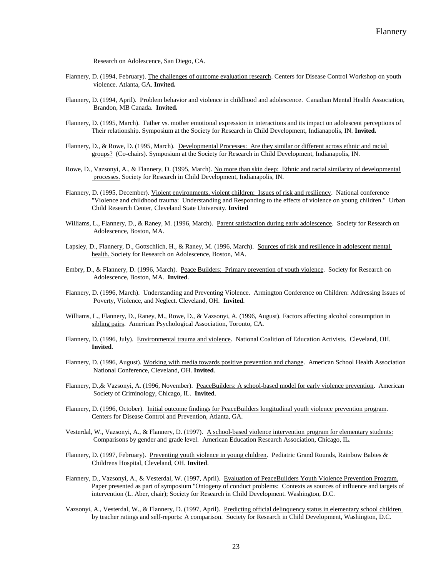Research on Adolescence, San Diego, CA.

- Flannery, D. (1994, February). The challenges of outcome evaluation research. Centers for Disease Control Workshop on youth violence. Atlanta, GA. **Invited.**
- Flannery, D. (1994, April). Problem behavior and violence in childhood and adolescence. Canadian Mental Health Association, Brandon, MB Canada. **Invited.**
- Flannery, D. (1995, March). Father vs. mother emotional expression in interactions and its impact on adolescent perceptions of Their relationship. Symposium at the Society for Research in Child Development, Indianapolis, IN. **Invited.**
- Flannery, D., & Rowe, D. (1995, March). Developmental Processes: Are they similar or different across ethnic and racial groups? (Co-chairs). Symposium at the Society for Research in Child Development, Indianapolis, IN.
- Rowe, D., Vazsonyi, A., & Flannery, D. (1995, March). No more than skin deep: Ethnic and racial similarity of developmental processes. Society for Research in Child Development, Indianapolis, IN.
- Flannery, D. (1995, December). Violent environments, violent children: Issues of risk and resiliency. National conference "Violence and childhood trauma: Understanding and Responding to the effects of violence on young children." Urban Child Research Center, Cleveland State University. **Invited**
- Williams, L., Flannery, D., & Raney, M. (1996, March). Parent satisfaction during early adolescence. Society for Research on Adolescence, Boston, MA.
- Lapsley, D., Flannery, D., Gottschlich, H., & Raney, M. (1996, March). Sources of risk and resilience in adolescent mental health. Society for Research on Adolescence, Boston, MA.
- Embry, D., & Flannery, D. (1996, March). Peace Builders: Primary prevention of youth violence. Society for Research on Adolescence, Boston, MA. **Invited**.
- Flannery, D. (1996, March). Understanding and Preventing Violence. Armington Conference on Children: Addressing Issues of Poverty, Violence, and Neglect. Cleveland, OH. **Invited**.
- Williams, L., Flannery, D., Raney, M., Rowe, D., & Vazsonyi, A. (1996, August). Factors affecting alcohol consumption in sibling pairs. American Psychological Association, Toronto, CA.
- Flannery, D. (1996, July). Environmental trauma and violence. National Coalition of Education Activists. Cleveland, OH. **Invited**.
- Flannery, D. (1996, August). Working with media towards positive prevention and change. American School Health Association National Conference, Cleveland, OH. **Invited**.
- Flannery, D., & Vazsonyi, A. (1996, November). PeaceBuilders: A school-based model for early violence prevention. American Society of Criminology, Chicago, IL. **Invited**.
- Flannery, D. (1996, October). Initial outcome findings for PeaceBuilders longitudinal youth violence prevention program. Centers for Disease Control and Prevention, Atlanta, GA.
- Vesterdal, W., Vazsonyi, A., & Flannery, D. (1997). A school-based violence intervention program for elementary students: Comparisons by gender and grade level. American Education Research Association, Chicago, IL.
- Flannery, D. (1997, February). Preventing youth violence in young children. Pediatric Grand Rounds, Rainbow Babies & Childrens Hospital, Cleveland, OH. **Invited**.
- Flannery, D., Vazsonyi, A., & Vesterdal, W. (1997, April). Evaluation of PeaceBuilders Youth Violence Prevention Program. Paper presented as part of symposium "Ontogeny of conduct problems: Contexts as sources of influence and targets of intervention (L. Aber, chair); Society for Research in Child Development. Washington, D.C.
- Vazsonyi, A., Vesterdal, W., & Flannery, D. (1997, April). Predicting official delinquency status in elementary school children by teacher ratings and self-reports: A comparison. Society for Research in Child Development, Washington, D.C.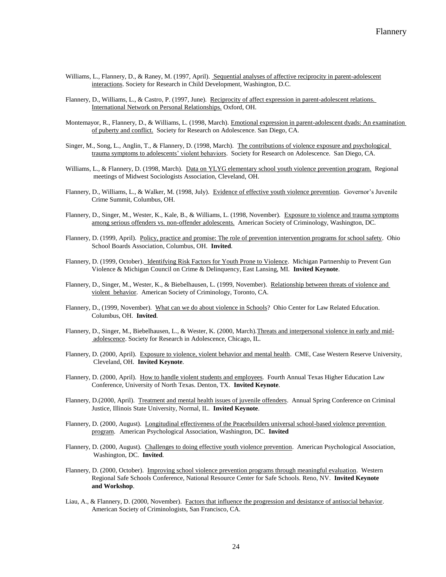- Williams, L., Flannery, D., & Raney, M. (1997, April). Sequential analyses of affective reciprocity in parent-adolescent interactions. Society for Research in Child Development, Washington, D.C.
- Flannery, D., Williams, L., & Castro, P. (1997, June). Reciprocity of affect expression in parent-adolescent relations. International Network on Personal Relationships. Oxford, OH.
- Montemayor, R., Flannery, D., & Williams, L. (1998, March). Emotional expression in parent-adolescent dyads: An examination of puberty and conflict. Society for Research on Adolescence. San Diego, CA.
- Singer, M., Song, L., Anglin, T., & Flannery, D. (1998, March). The contributions of violence exposure and psychological trauma symptoms to adolescents' violent behaviors. Society for Research on Adolescence. San Diego, CA.
- Williams, L., & Flannery, D. (1998, March). Data on YLYG elementary school youth violence prevention program. Regional meetings of Midwest Sociologists Association, Cleveland, OH.
- Flannery, D., Williams, L., & Walker, M. (1998, July). Evidence of effective youth violence prevention. Governor's Juvenile Crime Summit, Columbus, OH.
- Flannery, D., Singer, M., Wester, K., Kale, B., & Williams, L. (1998, November). Exposure to violence and trauma symptoms among serious offenders vs. non-offender adolescents. American Society of Criminology, Washington, DC.
- Flannery, D. (1999, April). Policy, practice and promise: The role of prevention intervention programs for school safety. Ohio School Boards Association, Columbus, OH. **Invited**.
- Flannery, D. (1999, October). Identifying Risk Factors for Youth Prone to Violence. Michigan Partnership to Prevent Gun Violence & Michigan Council on Crime & Delinquency, East Lansing, MI. **Invited Keynote**.
- Flannery, D., Singer, M., Wester, K., & Biebelhausen, L. (1999, November). Relationship between threats of violence and violent behavior. American Society of Criminology, Toronto, CA.
- Flannery, D., (1999, November). What can we do about violence in Schools? Ohio Center for Law Related Education. Columbus, OH. **Invited**.
- Flannery, D., Singer, M., Biebelhausen, L., & Wester, K. (2000, March).Threats and interpersonal violence in early and midadolescence. Society for Research in Adolescence, Chicago, IL.
- Flannery, D. (2000, April). Exposure to violence, violent behavior and mental health. CME, Case Western Reserve University, Cleveland, OH. **Invited Keynote**.
- Flannery, D. (2000, April). How to handle violent students and employees. Fourth Annual Texas Higher Education Law Conference, University of North Texas. Denton, TX. **Invited Keynote**.
- Flannery, D.(2000, April). Treatment and mental health issues of juvenile offenders. Annual Spring Conference on Criminal Justice, Illinois State University, Normal, IL. **Invited Keynote**.
- Flannery, D. (2000, August). Longitudinal effectiveness of the Peacebuilders universal school-based violence prevention program. American Psychological Association, Washington, DC. **Invited**
- Flannery, D. (2000, August). Challenges to doing effective youth violence prevention. American Psychological Association, Washington, DC. **Invited**.
- Flannery, D. (2000, October). Improving school violence prevention programs through meaningful evaluation. Western Regional Safe Schools Conference, National Resource Center for Safe Schools. Reno, NV. **Invited Keynote and Workshop**.
- Liau, A., & Flannery, D. (2000, November). Factors that influence the progression and desistance of antisocial behavior. American Society of Criminologists, San Francisco, CA.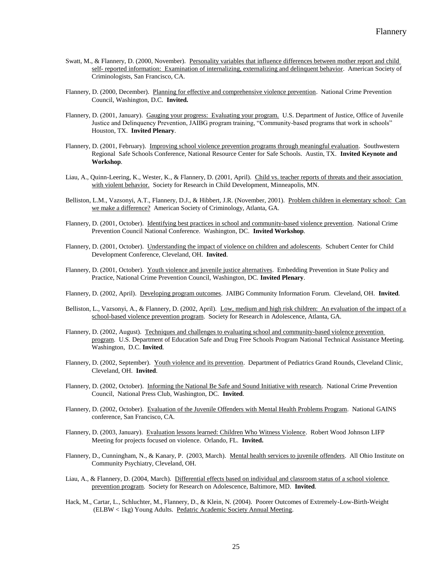- Swatt, M., & Flannery, D. (2000, November). Personality variables that influence differences between mother report and child self- reported information: Examination of internalizing, externalizing and delinquent behavior. American Society of Criminologists, San Francisco, CA.
- Flannery, D. (2000, December). Planning for effective and comprehensive violence prevention. National Crime Prevention Council, Washington, D.C. **Invited.**
- Flannery, D. (2001, January). Gauging your progress: Evaluating your program. U.S. Department of Justice, Office of Juvenile Justice and Delinquency Prevention, JAIBG program training, "Community-based programs that work in schools" Houston, TX. **Invited Plenary**.
- Flannery, D. (2001, February). Improving school violence prevention programs through meaningful evaluation. Southwestern Regional Safe Schools Conference, National Resource Center for Safe Schools. Austin, TX. **Invited Keynote and Workshop**.
- Liau, A., Quinn-Leering, K., Wester, K., & Flannery, D. (2001, April). Child vs. teacher reports of threats and their association with violent behavior. Society for Research in Child Development, Minneapolis, MN.
- Belliston, L.M., Vazsonyi, A.T., Flannery, D.J., & Hibbert, J.R. (November, 2001). Problem children in elementary school: Can we make a difference? American Society of Criminology, Atlanta, GA.
- Flannery, D. (2001, October). Identifying best practices in school and community-based violence prevention. National Crime Prevention Council National Conference. Washington, DC. **Invited Workshop**.
- Flannery, D. (2001, October). Understanding the impact of violence on children and adolescents. Schubert Center for Child Development Conference, Cleveland, OH. **Invited**.
- Flannery, D. (2001, October). Youth violence and juvenile justice alternatives. Embedding Prevention in State Policy and Practice, National Crime Prevention Council, Washington, DC. **Invited Plenary**.
- Flannery, D. (2002, April). Developing program outcomes. JAIBG Community Information Forum. Cleveland, OH. **Invited**.
- Belliston, L., Vazsonyi, A., & Flannery, D. (2002, April). Low, medium and high risk children: An evaluation of the impact of a school-based violence prevention program. Society for Research in Adolescence, Atlanta, GA.
- Flannery, D. (2002, August). Techniques and challenges to evaluating school and community-based violence prevention program. U.S. Department of Education Safe and Drug Free Schools Program National Technical Assistance Meeting. Washington, D.C. **Invited**.
- Flannery, D. (2002, September). Youth violence and its prevention. Department of Pediatrics Grand Rounds, Cleveland Clinic, Cleveland, OH. **Invited**.
- Flannery, D. (2002, October). Informing the National Be Safe and Sound Initiative with research. National Crime Prevention Council, National Press Club, Washington, DC. **Invited**.
- Flannery, D. (2002, October). Evaluation of the Juvenile Offenders with Mental Health Problems Program. National GAINS conference, San Francisco, CA.
- Flannery, D. (2003, January). Evaluation lessons learned: Children Who Witness Violence. Robert Wood Johnson LIFP Meeting for projects focused on violence. Orlando, FL. **Invited.**
- Flannery, D., Cunningham, N., & Kanary, P. (2003, March). Mental health services to juvenile offenders. All Ohio Institute on Community Psychiatry, Cleveland, OH.
- Liau, A., & Flannery, D. (2004, March). Differential effects based on individual and classroom status of a school violence prevention program. Society for Research on Adolescence, Baltimore, MD. **Invited**.
- Hack, M., Cartar, L., Schluchter, M., Flannery, D., & Klein, N. (2004). Poorer Outcomes of Extremely-Low-Birth-Weight (ELBW < 1kg) Young Adults. Pedatric Academic Society Annual Meeting.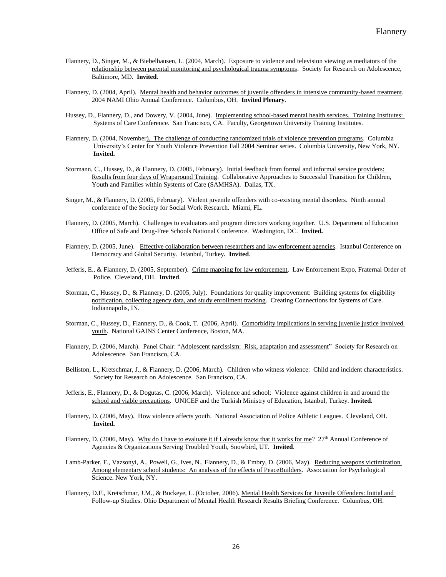- Flannery, D., Singer, M., & Biebelhausen, L. (2004, March). Exposure to violence and television viewing as mediators of the relationship between parental monitoring and psychological trauma symptoms. Society for Research on Adolescence, Baltimore, MD. **Invited**.
- Flannery, D. (2004, April). Mental health and behavior outcomes of juvenile offenders in intensive community-based treatment. 2004 NAMI Ohio Annual Conference. Columbus, OH. **Invited Plenary**.
- Hussey, D., Flannery, D., and Dowery, V. (2004, June). Implementing school-based mental health services. Training Institutes: Systems of Care Conference. San Francisco, CA. Faculty, Georgetown University Training Institutes.
- Flannery, D. (2004, November). The challenge of conducting randomized trials of violence prevention programs. Columbia University's Center for Youth Violence Prevention Fall 2004 Seminar series. Columbia University, New York, NY. **Invited.**
- Stormann, C., Hussey, D., & Flannery, D. (2005, February). Initial feedback from formal and informal service providers: Results from four days of Wraparound Training. Collaborative Approaches to Successful Transition for Children, Youth and Families within Systems of Care (SAMHSA). Dallas, TX.
- Singer, M., & Flannery, D. (2005, February). Violent juvenile offenders with co-existing mental disorders. Ninth annual conference of the Society for Social Work Research. Miami, FL.
- Flannery, D. (2005, March). Challenges to evaluators and program directors working together. U.S. Department of Education Office of Safe and Drug-Free Schools National Conference. Washington, DC. **Invited.**
- Flannery, D. (2005, June). Effective collaboration between researchers and law enforcement agencies. Istanbul Conference on Democracy and Global Security. Istanbul, Turkey**. Invited**.
- Jefferis, E., & Flannery, D. (2005, September). Crime mapping for law enforcement. Law Enforcement Expo, Fraternal Order of Police. Cleveland, OH. **Invited**.
- Storman, C., Hussey, D., & Flannery, D. (2005, July). Foundations for quality improvement: Building systems for eligibility notification, collecting agency data, and study enrollment tracking. Creating Connections for Systems of Care. Indiannapolis, IN.
- Storman, C., Hussey, D., Flannery, D., & Cook, T. (2006, April). Comorbidity implications in serving juvenile justice involved youth. National GAINS Center Conference, Boston, MA.
- Flannery, D. (2006, March). Panel Chair: "Adolescent narcissism: Risk, adaptation and assessment" Society for Research on Adolescence. San Francisco, CA.
- Belliston, L., Kretschmar, J., & Flannery, D. (2006, March). Children who witness violence: Child and incident characteristics. Society for Research on Adolescence. San Francisco, CA.
- Jefferis, E., Flannery, D., & Dogutas, C. (2006, March). Violence and school: Violence against children in and around the school and viable precautions. UNICEF and the Turkish Ministry of Education, Istanbul, Turkey. **Invited.**
- Flannery, D. (2006, May). How violence affects youth. National Association of Police Athletic Leagues. Cleveland, OH. **Invited.**
- Flannery, D. (2006, May). Why do I have to evaluate it if I already know that it works for me?  $27<sup>th</sup>$  Annual Conference of Agencies & Organizations Serving Troubled Youth, Snowbird, UT. **Invited**.
- Lamb-Parker, F., Vazsonyi, A., Powell, G., Ives, N., Flannery, D., & Embry, D. (2006, May). Reducing weapons victimization Among elementary school students: An analysis of the effects of PeaceBuilders. Association for Psychological Science. New York, NY.
- Flannery, D.F., Kretschmar, J.M., & Buckeye, L. (October, 2006). Mental Health Services for Juvenile Offenders: Initial and Follow-up Studies. Ohio Department of Mental Health Research Results Briefing Conference. Columbus, OH.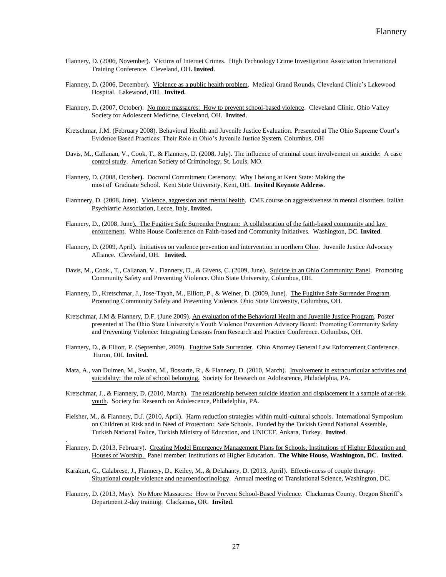- Flannery, D. (2006, November). Victims of Internet Crimes. High Technology Crime Investigation Association International Training Conference. Cleveland, OH**. Invited**.
- Flannery, D. (2006, December). Violence as a public health problem. Medical Grand Rounds, Cleveland Clinic's Lakewood Hospital. Lakewood, OH. **Invited.**
- Flannery, D. (2007, October). No more massacres: How to prevent school-based violence. Cleveland Clinic, Ohio Valley Society for Adolescent Medicine, Cleveland, OH. **Invited**.
- Kretschmar, J.M. (February 2008). Behavioral Health and Juvenile Justice Evaluation. Presented at The Ohio Supreme Court's Evidence Based Practices: Their Role in Ohio's Juvenile Justice System. Columbus, OH
- Davis, M., Callanan, V., Cook, T., & Flannery, D. (2008, July). The influence of criminal court involvement on suicide: A case control study. American Society of Criminology, St. Louis, MO.
- Flannery, D. (2008, October**).** Doctoral Commitment Ceremony. Why I belong at Kent State: Making the most of Graduate School. Kent State University, Kent, OH. **Invited Keynote Address**.
- Flannnery, D. (2008, June). Violence, aggression and mental health. CME course on aggressiveness in mental disorders. Italian Psychiatric Association, Lecce, Italy, **Invited.**
- Flannery, D., (2008, June). The Fugitive Safe Surrender Program: A collaboration of the faith-based community and law enforcement. White House Conference on Faith-based and Community Initiatives. Washington, DC. **Invited**.
- Flannery, D. (2009, April). Initiatives on violence prevention and intervention in northern Ohio. Juvenile Justice Advocacy Alliance. Cleveland, OH. **Invited.**
- Davis, M., Cook., T., Callanan, V., Flannery, D., & Givens, C. (2009, June). Suicide in an Ohio Community: Panel. Promoting Community Safety and Preventing Violence. Ohio State University, Columbus, OH.
- Flannery, D., Kretschmar, J., Jose-Tayah, M., Elliott, P., & Weiner, D. (2009, June). The Fugitive Safe Surrender Program. Promoting Community Safety and Preventing Violence. Ohio State University, Columbus, OH.
- Kretschmar, J.M & Flannery, D.F. (June 2009). An evaluation of the Behavioral Health and Juvenile Justice Program. Poster presented at The Ohio State University's Youth Violence Prevention Advisory Board: Promoting Community Safety and Preventing Violence: Integrating Lessons from Research and Practice Conference. Columbus, OH.
- Flannery, D., & Elliott, P. (September, 2009). Fugitive Safe Surrender. Ohio Attorney General Law Enforcement Conference. Huron, OH. **Invited.**
- Mata, A., van Dulmen, M., Swahn, M., Bossarte, R., & Flannery, D. (2010, March). Involvement in extracurricular activities and suicidality: the role of school belonging. Society for Research on Adolescence, Philadelphia, PA.
- Kretschmar, J., & Flannery, D. (2010, March). The relationship between suicide ideation and displacement in a sample of at-risk youth. Society for Research on Adolescence, Philadelphia, PA.
- Fleisher, M., & Flannery, D.J. (2010, April). Harm reduction strategies within multi-cultural schools. International Symposium on Children at Risk and in Need of Protection: Safe Schools. Funded by the Turkish Grand National Assemble, Turkish National Police, Turkish Ministry of Education, and UNICEF. Ankara, Turkey. **Invited**.
- Flannery, D. (2013, February). Creating Model Emergency Management Plans for Schools, Institutions of Higher Education and Houses of Worship. Panel member: Institutions of Higher Education. **The White House, Washington, DC. Invited.**
- Karakurt, G., Calabrese, J., Flannery, D., Keiley, M., & Delahanty, D. (2013, April). Effectiveness of couple therapy: Situational couple violence and neuroendocrinology. Annual meeting of Translational Science, Washington, DC.

.

Flannery, D. (2013, May). No More Massacres: How to Prevent School-Based Violence. Clackamas County, Oregon Sheriff's Department 2-day training. Clackamas, OR. **Invited**.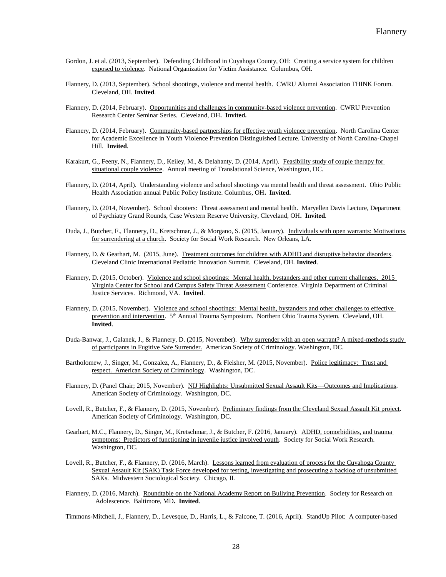- Gordon, J. et al. (2013, September). Defending Childhood in Cuyahoga County, OH: Creating a service system for children exposed to violence. National Organization for Victim Assistance. Columbus, OH.
- Flannery, D. (2013, September). School shootings, violence and mental health. CWRU Alumni Association THINK Forum. Cleveland, OH. **Invited**.
- Flannery, D. (2014, February). Opportunities and challenges in community-based violence prevention. CWRU Prevention Research Center Seminar Series. Cleveland, OH**. Invited.**
- Flannery, D. (2014, February). Community-based partnerships for effective youth violence prevention. North Carolina Center for Academic Excellence in Youth Violence Prevention Distinguished Lecture. University of North Carolina-Chapel Hill. **Invited**.
- Karakurt, G., Feeny, N., Flannery, D., Keiley, M., & Delahanty, D. (2014, April). Feasibility study of couple therapy for situational couple violence. Annual meeting of Translational Science, Washington, DC.
- Flannery, D. (2014, April). Understanding violence and school shootings via mental health and threat assessment. Ohio Public Health Association annual Public Policy Institute. Columbus, OH**. Invited.**
- Flannery, D. (2014, November). School shooters: Threat assessment and mental health. Maryellen Davis Lecture, Department of Psychiatry Grand Rounds, Case Western Reserve University, Cleveland, OH**. Invited**.
- Duda, J., Butcher, F., Flannery, D., Kretschmar, J., & Morgano, S. (2015, January). Individuals with open warrants: Motivations for surrendering at a church. Society for Social Work Research. New Orleans, LA.
- Flannery, D. & Gearhart, M. (2015, June). Treatment outcomes for children with ADHD and disruptive behavior disorders. Cleveland Clinic International Pediatric Innovation Summit. Cleveland, OH. **Invited**.
- Flannery, D. (2015, October). Violence and school shootings: Mental health, bystanders and other current challenges. 2015 Virginia Center for School and Campus Safety Threat Assessment Conference. Virginia Department of Criminal Justice Services. Richmond, VA. **Invited**.
- Flannery, D. (2015, November). Violence and school shootings: Mental health, bystanders and other challenges to effective prevention and intervention. 5<sup>th</sup> Annual Trauma Symposium. Northern Ohio Trauma System. Cleveland, OH. **Invited**.
- Duda-Banwar, J., Galanek, J., & Flannery, D. (2015, November). Why surrender with an open warrant? A mixed-methods study of participants in Fugitive Safe Surrender. American Society of Criminology. Washington, DC.
- Bartholomew, J., Singer, M., Gonzalez, A., Flannery, D., & Fleisher, M. (2015, November). Police legitimacy: Trust and respect. American Society of Criminology. Washington, DC.
- Flannery, D. (Panel Chair; 2015, November). NIJ Highlights: Unsubmitted Sexual Assault Kits-Outcomes and Implications. American Society of Criminology. Washington, DC.
- Lovell, R., Butcher, F., & Flannery, D. (2015, November). Preliminary findings from the Cleveland Sexual Assault Kit project. American Society of Criminology. Washington, DC.
- Gearhart, M.C., Flannery, D., Singer, M., Kretschmar, J., & Butcher, F. (2016, January). ADHD, comorbidities, and trauma symptoms: Predictors of functioning in juvenile justice involved youth. Society for Social Work Research. Washington, DC.
- Lovell, R., Butcher, F., & Flannery, D. (2016, March). Lessons learned from evaluation of process for the Cuyahoga County Sexual Assault Kit (SAK) Task Force developed for testing, investigating and prosecuting a backlog of unsubmitted SAKs. Midwestern Sociological Society. Chicago, IL
- Flannery, D. (2016, March). Roundtable on the National Academy Report on Bullying Prevention. Society for Research on Adolescence. Baltimore, MD**. Invited**.

Timmons-Mitchell, J., Flannery, D., Levesque, D., Harris, L., & Falcone, T. (2016, April). StandUp Pilot: A computer-based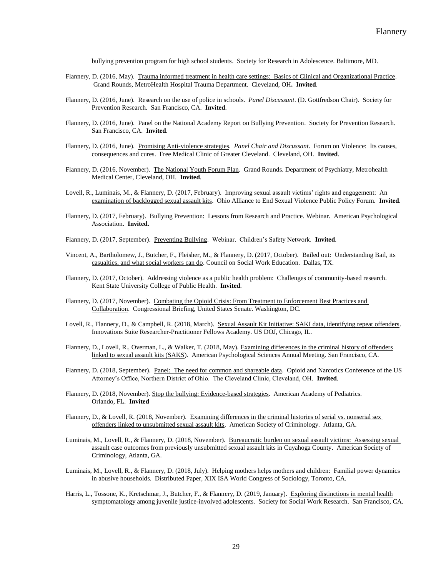bullying prevention program for high school students. Society for Research in Adolescence. Baltimore, MD.

- Flannery, D. (2016, May). Trauma informed treatment in health care settings: Basics of Clinical and Organizational Practice. Grand Rounds, MetroHealth Hospital Trauma Department. Cleveland, OH**. Invited**.
- Flannery, D. (2016, June). Research on the use of police in schools. *Panel Discussant*. (D. Gottfredson Chair). Society for Prevention Research. San Francisco, CA. **Invited**.
- Flannery, D. (2016, June). Panel on the National Academy Report on Bullying Prevention. Society for Prevention Research. San Francisco, CA. **Invited**.
- Flannery, D. (2016, June). Promising Anti-violence strategies*. Panel Chair and Discussant*. Forum on Violence: Its causes, consequences and cures. Free Medical Clinic of Greater Cleveland. Cleveland, OH. **Invited**.
- Flannery, D. (2016, November). The National Youth Forum Plan. Grand Rounds. Department of Psychiatry, Metrohealth Medical Center, Cleveland, OH. **Invited**.
- Lovell, R., Luminais, M., & Flannery, D. (2017, February). Improving sexual assault victims' rights and engagement: An examination of backlogged sexual assault kits. Ohio Alliance to End Sexual Violence Public Policy Forum. **Invited**.
- Flannery, D. (2017, February). Bullying Prevention: Lessons from Research and Practice. Webinar. American Psychological Association. **Invited.**
- Flannery, D. (2017, September). Preventing Bullying. Webinar. Children's Safety Network. **Invited**.
- Vincent, A., Bartholomew, J., Butcher, F., Fleisher, M., & Flannery, D. (2017, October). Bailed out: Understanding Bail, its casualties, and what social workers can do. Council on Social Work Education. Dallas, TX.
- Flannery, D. (2017, October). Addressing violence as a public health problem: Challenges of community-based research. Kent State University College of Public Health. **Invited**.
- Flannery, D. (2017, November). Combating the Opioid Crisis: From Treatment to Enforcement Best Practices and Collaboration. Congressional Briefing, United States Senate. Washington, DC.
- Lovell, R., Flannery, D., & Campbell, R. (2018, March). Sexual Assault Kit Initiative: SAKI data, identifying repeat offenders. Innovations Suite Researcher-Practitioner Fellows Academy. US DOJ, Chicago, IL.
- Flannery, D., Lovell, R., Overman, L., & Walker, T. (2018, May). Examining differences in the criminal history of offenders linked to sexual assault kits (SAKS). American Psychological Sciences Annual Meeting. San Francisco, CA.
- Flannery, D. (2018, September). Panel: The need for common and shareable data. Opioid and Narcotics Conference of the US Attorney's Office, Northern District of Ohio. The Cleveland Clinic, Cleveland, OH. **Invited**.
- Flannery, D. (2018, November). Stop the bullying: Evidence-based strategies. American Academy of Pediatrics. Orlando, FL. **Invited**
- Flannery, D., & Lovell, R. (2018, November). Examining differences in the criminal histories of serial vs. nonserial sex offenders linked to unsubmitted sexual assault kits. American Society of Criminology. Atlanta, GA.
- Luminais, M., Lovell, R., & Flannery, D. (2018, November). Bureaucratic burden on sexual assault victims: Assessing sexual assault case outcomes from previously unsubmitted sexual assault kits in Cuyahoga County. American Society of Criminology, Atlanta, GA.
- Luminais, M., Lovell, R., & Flannery, D. (2018, July). Helping mothers helps mothers and children: Familial power dynamics in abusive households. Distributed Paper, XIX ISA World Congress of Sociology, Toronto, CA.
- Harris, L., Tossone, K., Kretschmar, J., Butcher, F., & Flannery, D. (2019, January). Exploring distinctions in mental health symptomatology among juvenile justice-involved adolescents. Society for Social Work Research. San Francisco, CA.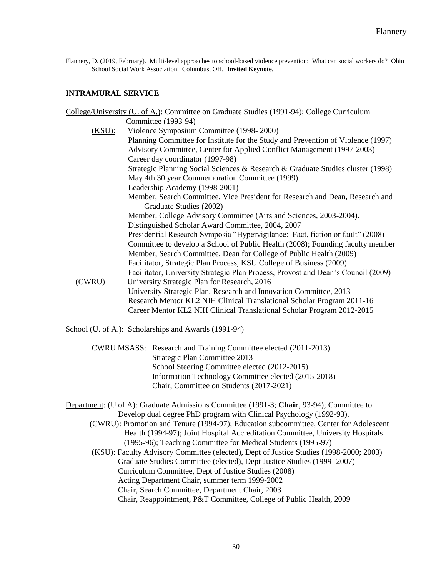Flannery, D. (2019, February). Multi-level approaches to school-based violence prevention: What can social workers do? Ohio School Social Work Association. Columbus, OH. **Invited Keynote**.

# **INTRAMURAL SERVICE**

|           | College/University (U. of A.): Committee on Graduate Studies (1991-94); College Curriculum |
|-----------|--------------------------------------------------------------------------------------------|
|           | Committee (1993-94)                                                                        |
| $(KSU)$ : | Violence Symposium Committee (1998-2000)                                                   |
|           | Planning Committee for Institute for the Study and Prevention of Violence (1997)           |
|           | Advisory Committee, Center for Applied Conflict Management (1997-2003)                     |
|           | Career day coordinator (1997-98)                                                           |
|           | Strategic Planning Social Sciences & Research & Graduate Studies cluster (1998)            |
|           | May 4th 30 year Commemoration Committee (1999)                                             |
|           | Leadership Academy (1998-2001)                                                             |
|           | Member, Search Committee, Vice President for Research and Dean, Research and               |
|           | Graduate Studies (2002)                                                                    |
|           | Member, College Advisory Committee (Arts and Sciences, 2003-2004).                         |
|           | Distinguished Scholar Award Committee, 2004, 2007                                          |
|           | Presidential Research Symposia "Hypervigilance: Fact, fiction or fault" (2008)             |
|           | Committee to develop a School of Public Health (2008); Founding faculty member             |
|           | Member, Search Committee, Dean for College of Public Health (2009)                         |
|           | Facilitator, Strategic Plan Process, KSU College of Business (2009)                        |
|           | Facilitator, University Strategic Plan Process, Provost and Dean's Council (2009)          |
| (CWRU)    | University Strategic Plan for Research, 2016                                               |
|           | University Strategic Plan, Research and Innovation Committee, 2013                         |
|           | Research Mentor KL2 NIH Clinical Translational Scholar Program 2011-16                     |
|           | Career Mentor KL2 NIH Clinical Translational Scholar Program 2012-2015                     |
|           |                                                                                            |

School (U. of A.): Scholarships and Awards (1991-94)

CWRU MSASS: Research and Training Committee elected (2011-2013) Strategic Plan Committee 2013 School Steering Committee elected (2012-2015) Information Technology Committee elected (2015-2018) Chair, Committee on Students (2017-2021)

Department: (U of A): Graduate Admissions Committee (1991-3; **Chair**, 93-94); Committee to Develop dual degree PhD program with Clinical Psychology (1992-93).

 (CWRU): Promotion and Tenure (1994-97); Education subcommittee, Center for Adolescent Health (1994-97); Joint Hospital Accreditation Committee, University Hospitals (1995-96); Teaching Committee for Medical Students (1995-97)

(KSU): Faculty Advisory Committee (elected), Dept of Justice Studies (1998-2000; 2003) Graduate Studies Committee (elected), Dept Justice Studies (1999- 2007) Curriculum Committee, Dept of Justice Studies (2008) Acting Department Chair, summer term 1999-2002 Chair, Search Committee, Department Chair, 2003 Chair, Reappointment, P&T Committee, College of Public Health, 2009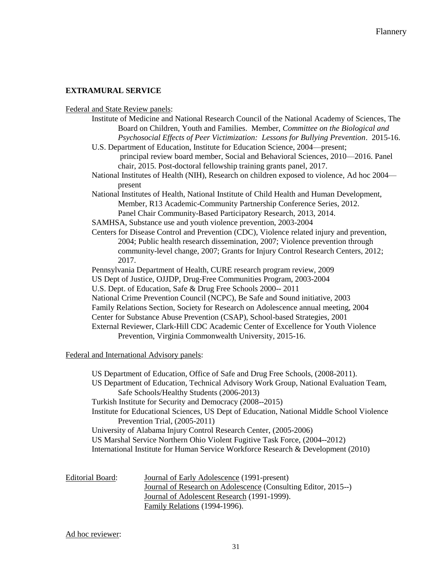# **EXTRAMURAL SERVICE**

Federal and State Review panels:

- Institute of Medicine and National Research Council of the National Academy of Sciences, The Board on Children, Youth and Families. Member, *Committee on the Biological and Psychosocial Effects of Peer Victimization: Lessons for Bullying Prevention*. 2015-16.
- U.S. Department of Education, Institute for Education Science, 2004—present; principal review board member, Social and Behavioral Sciences, 2010—2016. Panel chair, 2015. Post-doctoral fellowship training grants panel, 2017.
- National Institutes of Health (NIH), Research on children exposed to violence, Ad hoc 2004 present
- National Institutes of Health, National Institute of Child Health and Human Development, Member, R13 Academic-Community Partnership Conference Series, 2012. Panel Chair Community-Based Participatory Research, 2013, 2014.
- SAMHSA, Substance use and youth violence prevention, 2003-2004
- Centers for Disease Control and Prevention (CDC), Violence related injury and prevention, 2004; Public health research dissemination, 2007; Violence prevention through community-level change, 2007; Grants for Injury Control Research Centers, 2012; 2017.
- Pennsylvania Department of Health, CURE research program review, 2009 US Dept of Justice, OJJDP, Drug-Free Communities Program, 2003-2004 U.S. Dept. of Education, Safe & Drug Free Schools 2000-- 2011 National Crime Prevention Council (NCPC), Be Safe and Sound initiative, 2003 Family Relations Section, Society for Research on Adolescence annual meeting, 2004 Center for Substance Abuse Prevention (CSAP), School-based Strategies, 2001 External Reviewer, Clark-Hill CDC Academic Center of Excellence for Youth Violence Prevention, Virginia Commonwealth University, 2015-16.

# Federal and International Advisory panels:

US Department of Education, Office of Safe and Drug Free Schools, (2008-2011). US Department of Education, Technical Advisory Work Group, National Evaluation Team, Safe Schools/Healthy Students (2006-2013) Turkish Institute for Security and Democracy (2008--2015) Institute for Educational Sciences, US Dept of Education, National Middle School Violence Prevention Trial, (2005-2011) University of Alabama Injury Control Research Center, (2005-2006) US Marshal Service Northern Ohio Violent Fugitive Task Force, (2004--2012) International Institute for Human Service Workforce Research & Development (2010)

| Editorial Board: |  |
|------------------|--|
|                  |  |

Journal of Early Adolescence (1991-present) Journal of Research on Adolescence (Consulting Editor, 2015--) Journal of Adolescent Research (1991-1999). Family Relations (1994-1996).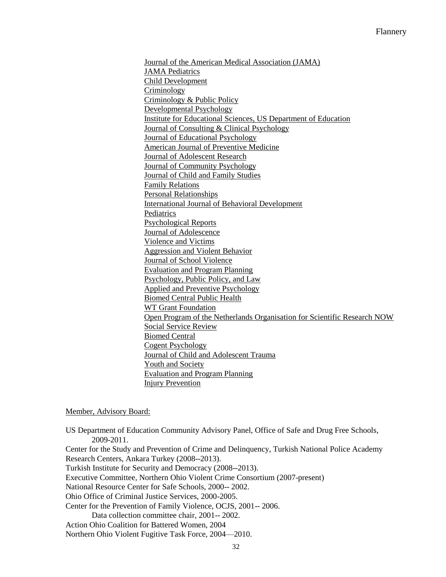Journal of the American Medical Association (JAMA) JAMA Pediatrics Child Development Criminology Criminology & Public Policy Developmental Psychology Institute for Educational Sciences, US Department of Education Journal of Consulting & Clinical Psychology Journal of Educational Psychology American Journal of Preventive Medicine Journal of Adolescent Research Journal of Community Psychology Journal of Child and Family Studies Family Relations Personal Relationships International Journal of Behavioral Development Pediatrics Psychological Reports Journal of Adolescence Violence and Victims Aggression and Violent Behavior Journal of School Violence Evaluation and Program Planning Psychology, Public Policy, and Law Applied and Preventive Psychology Biomed Central Public Health WT Grant Foundation Open Program of the Netherlands Organisation for Scientific Research NOW Social Service Review Biomed Central Cogent Psychology Journal of Child and Adolescent Trauma Youth and Society Evaluation and Program Planning Injury Prevention

### Member, Advisory Board:

US Department of Education Community Advisory Panel, Office of Safe and Drug Free Schools, 2009-2011. Center for the Study and Prevention of Crime and Delinquency, Turkish National Police Academy Research Centers, Ankara Turkey (2008--2013). Turkish Institute for Security and Democracy (2008--2013). Executive Committee, Northern Ohio Violent Crime Consortium (2007-present) National Resource Center for Safe Schools, 2000-- 2002. Ohio Office of Criminal Justice Services, 2000-2005. Center for the Prevention of Family Violence, OCJS, 2001-- 2006. Data collection committee chair, 2001-- 2002. Action Ohio Coalition for Battered Women, 2004 Northern Ohio Violent Fugitive Task Force, 2004—2010.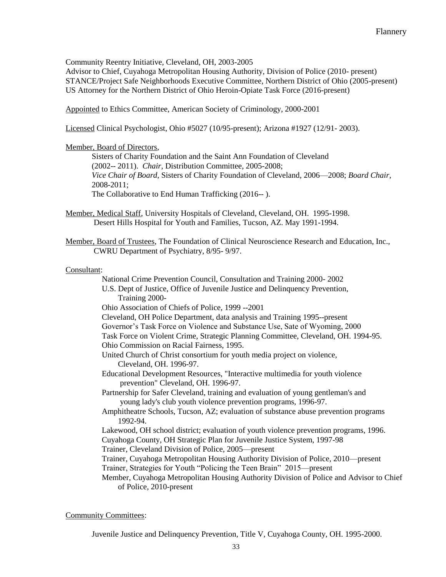Community Reentry Initiative, Cleveland, OH, 2003-2005

Advisor to Chief, Cuyahoga Metropolitan Housing Authority, Division of Police (2010- present) STANCE/Project Safe Neighborhoods Executive Committee, Northern District of Ohio (2005-present) US Attorney for the Northern District of Ohio Heroin-Opiate Task Force (2016-present)

Appointed to Ethics Committee, American Society of Criminology, 2000-2001

Licensed Clinical Psychologist, Ohio #5027 (10/95-present); Arizona #1927 (12/91- 2003).

### Member, Board of Directors,

Sisters of Charity Foundation and the Saint Ann Foundation of Cleveland (2002-- 2011). *Chair*, Distribution Committee, 2005-2008; *Vice Chair of Board*, Sisters of Charity Foundation of Cleveland, 2006—2008; *Board Chair*, 2008-2011; The Collaborative to End Human Trafficking (2016-- ).

Member, Medical Staff, University Hospitals of Cleveland, Cleveland, OH. 1995-1998. Desert Hills Hospital for Youth and Families, Tucson, AZ. May 1991-1994.

Member, Board of Trustees, The Foundation of Clinical Neuroscience Research and Education, Inc., CWRU Department of Psychiatry, 8/95- 9/97.

### Consultant:

 National Crime Prevention Council, Consultation and Training 2000- 2002 U.S. Dept of Justice, Office of Juvenile Justice and Delinquency Prevention, Training 2000- Ohio Association of Chiefs of Police, 1999 --2001 Cleveland, OH Police Department, data analysis and Training 1995--present Governor's Task Force on Violence and Substance Use, Sate of Wyoming, 2000 Task Force on Violent Crime, Strategic Planning Committee, Cleveland, OH. 1994-95. Ohio Commission on Racial Fairness, 1995. United Church of Christ consortium for youth media project on violence, Cleveland, OH. 1996-97. Educational Development Resources, "Interactive multimedia for youth violence prevention" Cleveland, OH. 1996-97. Partnership for Safer Cleveland, training and evaluation of young gentleman's and young lady's club youth violence prevention programs, 1996-97. Amphitheatre Schools, Tucson, AZ; evaluation of substance abuse prevention programs 1992-94. Lakewood, OH school district; evaluation of youth violence prevention programs, 1996. Cuyahoga County, OH Strategic Plan for Juvenile Justice System, 1997-98 Trainer, Cleveland Division of Police, 2005—present Trainer, Cuyahoga Metropolitan Housing Authority Division of Police, 2010—present Trainer, Strategies for Youth "Policing the Teen Brain" 2015—present Member, Cuyahoga Metropolitan Housing Authority Division of Police and Advisor to Chief of Police, 2010-present

### Community Committees:

Juvenile Justice and Delinquency Prevention, Title V, Cuyahoga County, OH. 1995-2000.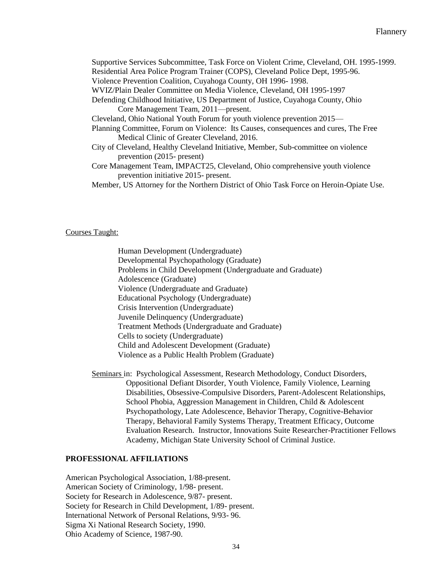| Supportive Services Subcommittee, Task Force on Violent Crime, Cleveland, OH. 1995-1999. |
|------------------------------------------------------------------------------------------|
| Residential Area Police Program Trainer (COPS), Cleveland Police Dept, 1995-96.          |
| Violence Prevention Coalition, Cuyahoga County, OH 1996-1998.                            |
| WVIZ/Plain Dealer Committee on Media Violence, Cleveland, OH 1995-1997                   |
| Defending Childhood Initiative, US Department of Justice, Cuyahoga County, Ohio          |
| Core Management Team, 2011—present.                                                      |
| Cleveland, Ohio National Youth Forum for youth violence prevention 2015—                 |
| Planning Committee, Forum on Violence: Its Causes, consequences and cures, The Free      |
| Medical Clinic of Greater Cleveland, 2016.                                               |
| City of Cleveland, Healthy Cleveland Initiative, Member, Sub-committee on violence       |
| prevention $(2015 - present)$                                                            |
| Core Management Team, IMPACT25, Cleveland, Ohio comprehensive youth violence             |
| prevention initiative 2015- present.                                                     |
| Member, US Attorney for the Northern District of Ohio Task Force on Heroin-Opiate Use.   |

Courses Taught:

Human Development (Undergraduate) Developmental Psychopathology (Graduate) Problems in Child Development (Undergraduate and Graduate) Adolescence (Graduate) Violence (Undergraduate and Graduate) Educational Psychology (Undergraduate) Crisis Intervention (Undergraduate) Juvenile Delinquency (Undergraduate) Treatment Methods (Undergraduate and Graduate) Cells to society (Undergraduate) Child and Adolescent Development (Graduate) Violence as a Public Health Problem (Graduate)

Seminars in: Psychological Assessment, Research Methodology, Conduct Disorders, Oppositional Defiant Disorder, Youth Violence, Family Violence, Learning Disabilities, Obsessive-Compulsive Disorders, Parent-Adolescent Relationships, School Phobia, Aggression Management in Children, Child & Adolescent Psychopathology, Late Adolescence, Behavior Therapy, Cognitive-Behavior Therapy, Behavioral Family Systems Therapy, Treatment Efficacy, Outcome Evaluation Research. Instructor, Innovations Suite Researcher-Practitioner Fellows Academy, Michigan State University School of Criminal Justice.

# **PROFESSIONAL AFFILIATIONS**

American Psychological Association, 1/88-present. American Society of Criminology, 1/98- present. Society for Research in Adolescence, 9/87- present. Society for Research in Child Development, 1/89- present. International Network of Personal Relations, 9/93- 96. Sigma Xi National Research Society, 1990. Ohio Academy of Science, 1987-90.